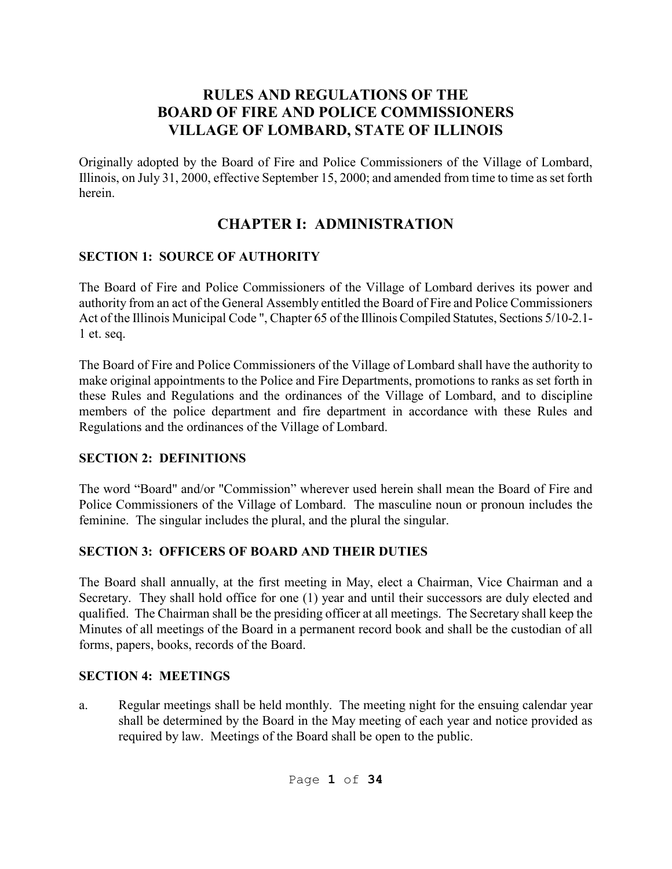## **RULES AND REGULATIONS OF THE BOARD OF FIRE AND POLICE COMMISSIONERS VILLAGE OF LOMBARD, STATE OF ILLINOIS**

Originally adopted by the Board of Fire and Police Commissioners of the Village of Lombard, Illinois, on July 31, 2000, effective September 15, 2000; and amended from time to time as set forth herein.

# **CHAPTER I: ADMINISTRATION**

### **SECTION 1: SOURCE OF AUTHORITY**

The Board of Fire and Police Commissioners of the Village of Lombard derives its power and authority from an act of the General Assembly entitled the Board of Fire and Police Commissioners Act of the Illinois Municipal Code ", Chapter 65 of the Illinois Compiled Statutes, Sections 5/10-2.1- 1 et. seq.

The Board of Fire and Police Commissioners of the Village of Lombard shall have the authority to make original appointments to the Police and Fire Departments, promotions to ranks as set forth in these Rules and Regulations and the ordinances of the Village of Lombard, and to discipline members of the police department and fire department in accordance with these Rules and Regulations and the ordinances of the Village of Lombard.

### **SECTION 2: DEFINITIONS**

The word "Board" and/or "Commission" wherever used herein shall mean the Board of Fire and Police Commissioners of the Village of Lombard. The masculine noun or pronoun includes the feminine. The singular includes the plural, and the plural the singular.

## **SECTION 3: OFFICERS OF BOARD AND THEIR DUTIES**

The Board shall annually, at the first meeting in May, elect a Chairman, Vice Chairman and a Secretary. They shall hold office for one (1) year and until their successors are duly elected and qualified. The Chairman shall be the presiding officer at all meetings. The Secretary shall keep the Minutes of all meetings of the Board in a permanent record book and shall be the custodian of all forms, papers, books, records of the Board.

### **SECTION 4: MEETINGS**

a. Regular meetings shall be held monthly. The meeting night for the ensuing calendar year shall be determined by the Board in the May meeting of each year and notice provided as required by law. Meetings of the Board shall be open to the public.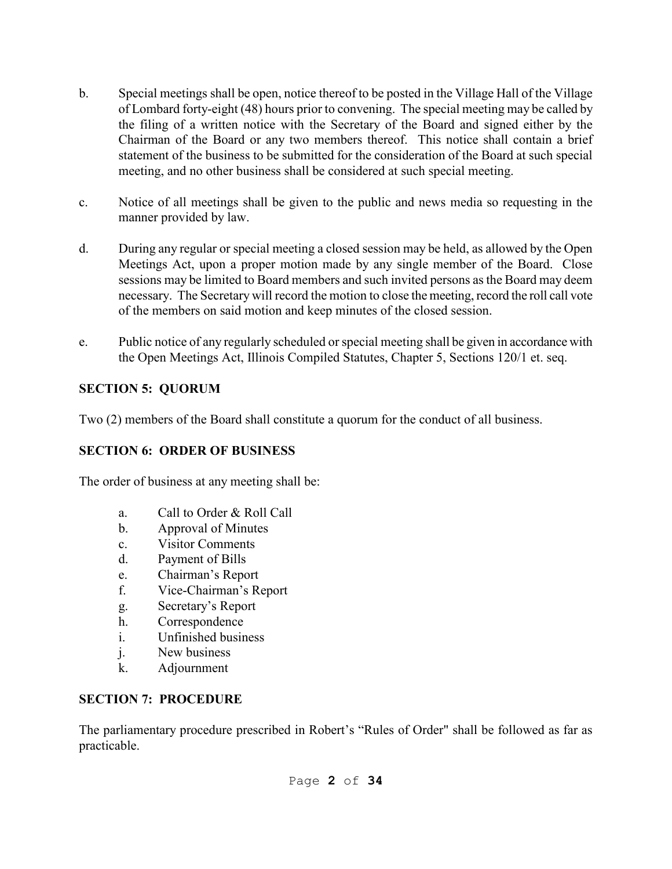- b. Special meetings shall be open, notice thereof to be posted in the Village Hall of the Village of Lombard forty-eight (48) hours prior to convening. The special meeting may be called by the filing of a written notice with the Secretary of the Board and signed either by the Chairman of the Board or any two members thereof. This notice shall contain a brief statement of the business to be submitted for the consideration of the Board at such special meeting, and no other business shall be considered at such special meeting.
- c. Notice of all meetings shall be given to the public and news media so requesting in the manner provided by law.
- d. During any regular or special meeting a closed session may be held, as allowed by the Open Meetings Act, upon a proper motion made by any single member of the Board. Close sessions may be limited to Board members and such invited persons as the Board may deem necessary. The Secretary will record the motion to close the meeting, record the roll call vote of the members on said motion and keep minutes of the closed session.
- e. Public notice of any regularly scheduled or special meeting shall be given in accordance with the Open Meetings Act, Illinois Compiled Statutes, Chapter 5, Sections 120/1 et. seq.

## **SECTION 5: QUORUM**

Two (2) members of the Board shall constitute a quorum for the conduct of all business.

## **SECTION 6: ORDER OF BUSINESS**

The order of business at any meeting shall be:

- a. Call to Order & Roll Call
- b. Approval of Minutes
- c. Visitor Comments
- d. Payment of Bills
- e. Chairman's Report
- f. Vice-Chairman's Report
- g. Secretary's Report
- h. Correspondence
- i. Unfinished business
- j. New business
- k. Adjournment

## **SECTION 7: PROCEDURE**

The parliamentary procedure prescribed in Robert's "Rules of Order" shall be followed as far as practicable.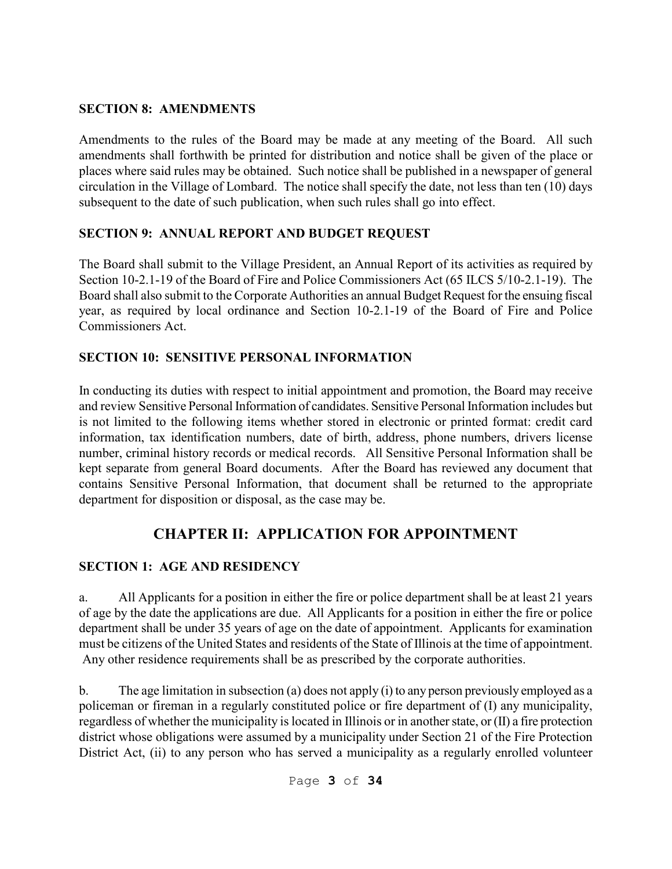#### **SECTION 8: AMENDMENTS**

Amendments to the rules of the Board may be made at any meeting of the Board. All such amendments shall forthwith be printed for distribution and notice shall be given of the place or places where said rules may be obtained. Such notice shall be published in a newspaper of general circulation in the Village of Lombard. The notice shall specify the date, not less than ten (10) days subsequent to the date of such publication, when such rules shall go into effect.

### **SECTION 9: ANNUAL REPORT AND BUDGET REQUEST**

The Board shall submit to the Village President, an Annual Report of its activities as required by Section 10-2.1-19 of the Board of Fire and Police Commissioners Act (65 ILCS 5/10-2.1-19). The Board shall also submit to the Corporate Authorities an annual Budget Request for the ensuing fiscal year, as required by local ordinance and Section 10-2.1-19 of the Board of Fire and Police Commissioners Act.

### **SECTION 10: SENSITIVE PERSONAL INFORMATION**

In conducting its duties with respect to initial appointment and promotion, the Board may receive and review Sensitive Personal Information of candidates. Sensitive Personal Information includes but is not limited to the following items whether stored in electronic or printed format: credit card information, tax identification numbers, date of birth, address, phone numbers, drivers license number, criminal history records or medical records. All Sensitive Personal Information shall be kept separate from general Board documents. After the Board has reviewed any document that contains Sensitive Personal Information, that document shall be returned to the appropriate department for disposition or disposal, as the case may be.

# **CHAPTER II: APPLICATION FOR APPOINTMENT**

### **SECTION 1: AGE AND RESIDENCY**

a. All Applicants for a position in either the fire or police department shall be at least 21 years of age by the date the applications are due. All Applicants for a position in either the fire or police department shall be under 35 years of age on the date of appointment. Applicants for examination must be citizens of the United States and residents of the State of Illinois at the time of appointment. Any other residence requirements shall be as prescribed by the corporate authorities.

b. The age limitation in subsection (a) does not apply (i) to any person previously employed as a policeman or fireman in a regularly constituted police or fire department of (I) any municipality, regardless of whether the municipality is located in Illinois or in another state, or (II) a fire protection district whose obligations were assumed by a municipality under Section 21 of the Fire Protection District Act, (ii) to any person who has served a municipality as a regularly enrolled volunteer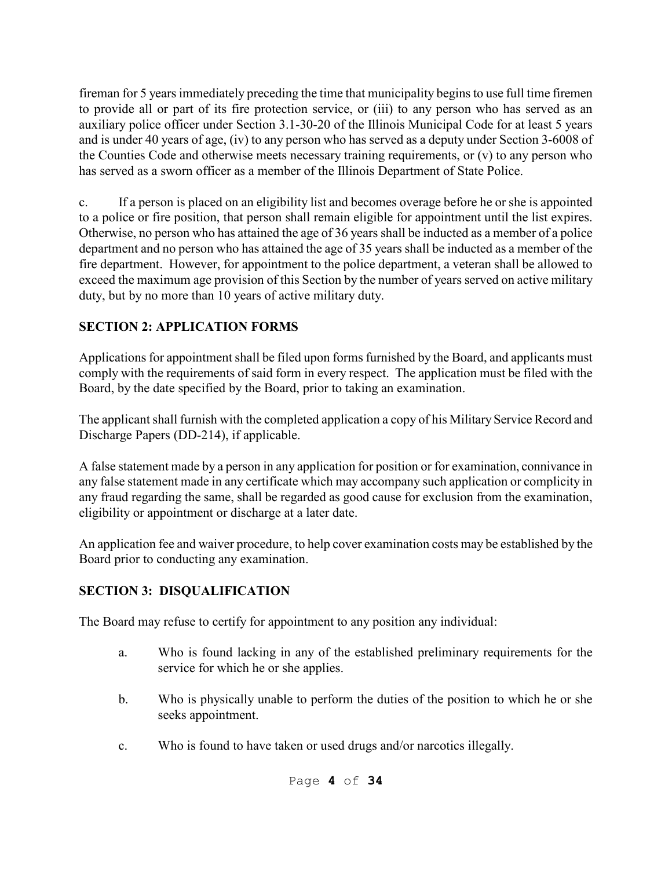fireman for 5 years immediately preceding the time that municipality begins to use full time firemen to provide all or part of its fire protection service, or (iii) to any person who has served as an auxiliary police officer under Section 3.1-30-20 of the Illinois Municipal Code for at least 5 years and is under 40 years of age, (iv) to any person who has served as a deputy under Section 3-6008 of the Counties Code and otherwise meets necessary training requirements, or (v) to any person who has served as a sworn officer as a member of the Illinois Department of State Police.

c. If a person is placed on an eligibility list and becomes overage before he or she is appointed to a police or fire position, that person shall remain eligible for appointment until the list expires. Otherwise, no person who has attained the age of 36 years shall be inducted as a member of a police department and no person who has attained the age of 35 years shall be inducted as a member of the fire department. However, for appointment to the police department, a veteran shall be allowed to exceed the maximum age provision of this Section by the number of years served on active military duty, but by no more than 10 years of active military duty.

## **SECTION 2: APPLICATION FORMS**

Applications for appointment shall be filed upon forms furnished by the Board, and applicants must comply with the requirements of said form in every respect. The application must be filed with the Board, by the date specified by the Board, prior to taking an examination.

The applicant shall furnish with the completed application a copy of his Military Service Record and Discharge Papers (DD-214), if applicable.

A false statement made by a person in any application for position or for examination, connivance in any false statement made in any certificate which may accompany such application or complicity in any fraud regarding the same, shall be regarded as good cause for exclusion from the examination, eligibility or appointment or discharge at a later date.

An application fee and waiver procedure, to help cover examination costs may be established by the Board prior to conducting any examination.

### **SECTION 3: DISQUALIFICATION**

The Board may refuse to certify for appointment to any position any individual:

- a. Who is found lacking in any of the established preliminary requirements for the service for which he or she applies.
- b. Who is physically unable to perform the duties of the position to which he or she seeks appointment.
- c. Who is found to have taken or used drugs and/or narcotics illegally.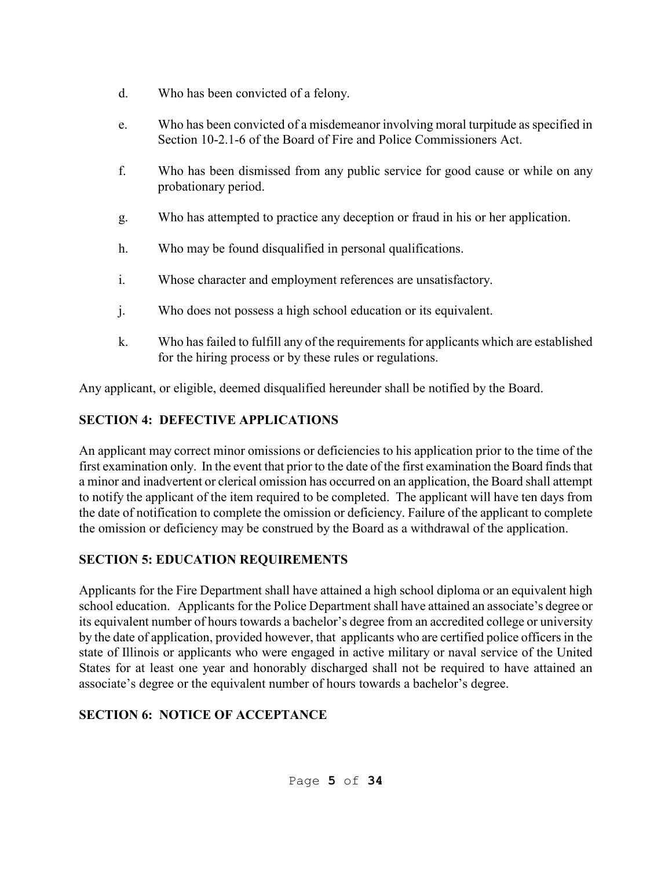- d. Who has been convicted of a felony.
- e. Who has been convicted of a misdemeanor involving moral turpitude as specified in Section 10-2.1-6 of the Board of Fire and Police Commissioners Act.
- f. Who has been dismissed from any public service for good cause or while on any probationary period.
- g. Who has attempted to practice any deception or fraud in his or her application.
- h. Who may be found disqualified in personal qualifications.
- i. Whose character and employment references are unsatisfactory.
- j. Who does not possess a high school education or its equivalent.
- k. Who has failed to fulfill any of the requirements for applicants which are established for the hiring process or by these rules or regulations.

Any applicant, or eligible, deemed disqualified hereunder shall be notified by the Board.

# **SECTION 4: DEFECTIVE APPLICATIONS**

An applicant may correct minor omissions or deficiencies to his application prior to the time of the first examination only. In the event that prior to the date of the first examination the Board finds that a minor and inadvertent or clerical omission has occurred on an application, the Board shall attempt to notify the applicant of the item required to be completed. The applicant will have ten days from the date of notification to complete the omission or deficiency. Failure of the applicant to complete the omission or deficiency may be construed by the Board as a withdrawal of the application.

# **SECTION 5: EDUCATION REQUIREMENTS**

Applicants for the Fire Department shall have attained a high school diploma or an equivalent high school education. Applicants for the Police Department shall have attained an associate's degree or its equivalent number of hours towards a bachelor's degree from an accredited college or university by the date of application, provided however, that applicants who are certified police officers in the state of Illinois or applicants who were engaged in active military or naval service of the United States for at least one year and honorably discharged shall not be required to have attained an associate's degree or the equivalent number of hours towards a bachelor's degree.

# **SECTION 6: NOTICE OF ACCEPTANCE**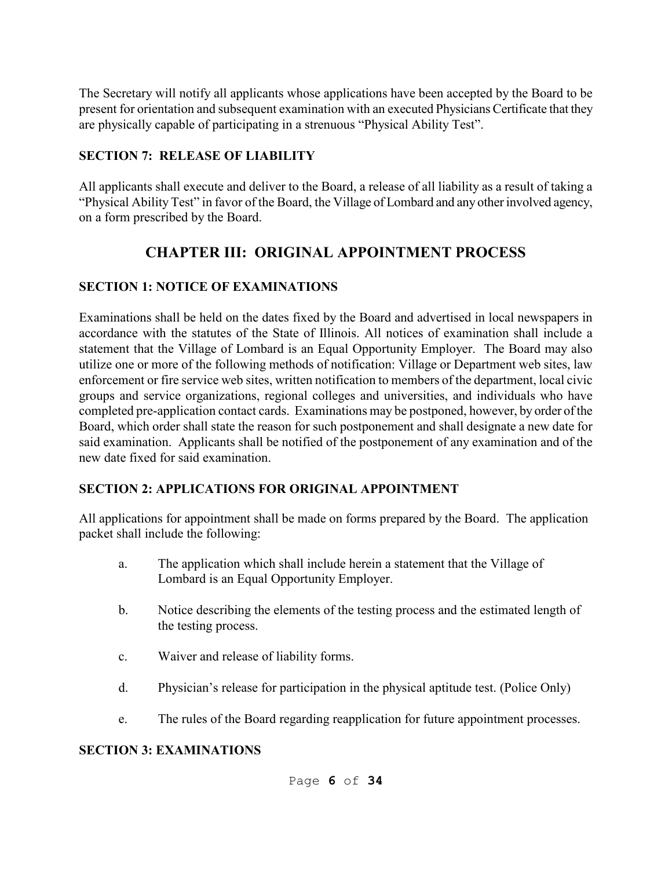The Secretary will notify all applicants whose applications have been accepted by the Board to be present for orientation and subsequent examination with an executed Physicians Certificate that they are physically capable of participating in a strenuous "Physical Ability Test".

### **SECTION 7: RELEASE OF LIABILITY**

All applicants shall execute and deliver to the Board, a release of all liability as a result of taking a "Physical Ability Test" in favor of the Board, the Village of Lombard and any other involved agency, on a form prescribed by the Board.

# **CHAPTER III: ORIGINAL APPOINTMENT PROCESS**

### **SECTION 1: NOTICE OF EXAMINATIONS**

Examinations shall be held on the dates fixed by the Board and advertised in local newspapers in accordance with the statutes of the State of Illinois. All notices of examination shall include a statement that the Village of Lombard is an Equal Opportunity Employer. The Board may also utilize one or more of the following methods of notification: Village or Department web sites, law enforcement or fire service web sites, written notification to members of the department, local civic groups and service organizations, regional colleges and universities, and individuals who have completed pre-application contact cards. Examinations may be postponed, however, by order of the Board, which order shall state the reason for such postponement and shall designate a new date for said examination. Applicants shall be notified of the postponement of any examination and of the new date fixed for said examination.

## **SECTION 2: APPLICATIONS FOR ORIGINAL APPOINTMENT**

All applications for appointment shall be made on forms prepared by the Board. The application packet shall include the following:

- a. The application which shall include herein a statement that the Village of Lombard is an Equal Opportunity Employer.
- b. Notice describing the elements of the testing process and the estimated length of the testing process.
- c. Waiver and release of liability forms.
- d. Physician's release for participation in the physical aptitude test. (Police Only)
- e. The rules of the Board regarding reapplication for future appointment processes.

### **SECTION 3: EXAMINATIONS**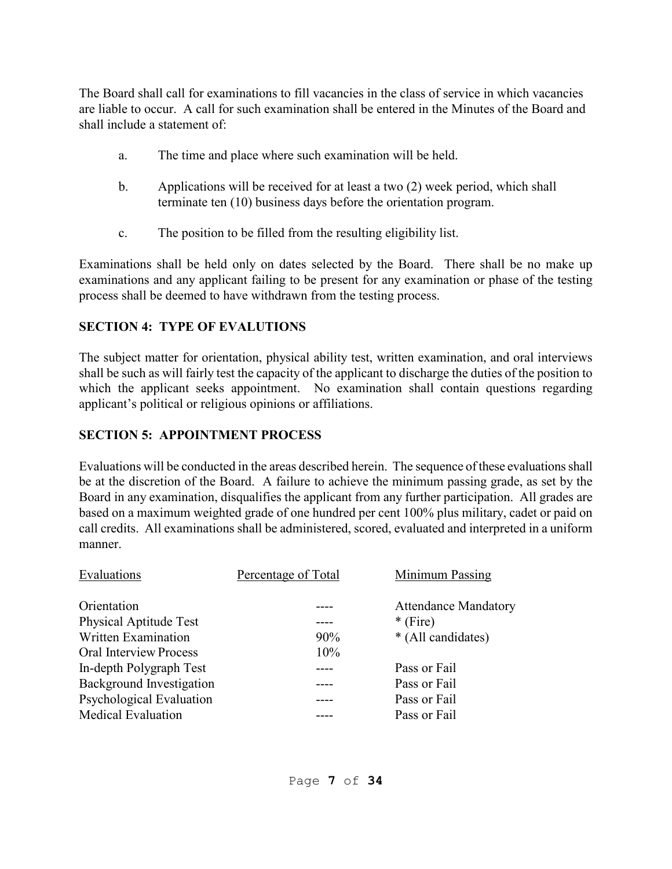The Board shall call for examinations to fill vacancies in the class of service in which vacancies are liable to occur. A call for such examination shall be entered in the Minutes of the Board and shall include a statement of:

- a. The time and place where such examination will be held.
- b. Applications will be received for at least a two (2) week period, which shall terminate ten (10) business days before the orientation program.
- c. The position to be filled from the resulting eligibility list.

Examinations shall be held only on dates selected by the Board. There shall be no make up examinations and any applicant failing to be present for any examination or phase of the testing process shall be deemed to have withdrawn from the testing process.

### **SECTION 4: TYPE OF EVALUTIONS**

The subject matter for orientation, physical ability test, written examination, and oral interviews shall be such as will fairly test the capacity of the applicant to discharge the duties of the position to which the applicant seeks appointment. No examination shall contain questions regarding applicant's political or religious opinions or affiliations.

#### **SECTION 5: APPOINTMENT PROCESS**

Evaluations will be conducted in the areas described herein. The sequence of these evaluations shall be at the discretion of the Board. A failure to achieve the minimum passing grade, as set by the Board in any examination, disqualifies the applicant from any further participation. All grades are based on a maximum weighted grade of one hundred per cent 100% plus military, cadet or paid on call credits. All examinations shall be administered, scored, evaluated and interpreted in a uniform manner.

| Evaluations                     | Percentage of Total | Minimum Passing             |
|---------------------------------|---------------------|-----------------------------|
| Orientation                     |                     | <b>Attendance Mandatory</b> |
| <b>Physical Aptitude Test</b>   |                     | $*$ (Fire)                  |
| Written Examination             | $90\%$              | * (All candidates)          |
| Oral Interview Process          | 10%                 |                             |
| In-depth Polygraph Test         |                     | Pass or Fail                |
| <b>Background Investigation</b> |                     | Pass or Fail                |
| Psychological Evaluation        |                     | Pass or Fail                |
| <b>Medical Evaluation</b>       |                     | Pass or Fail                |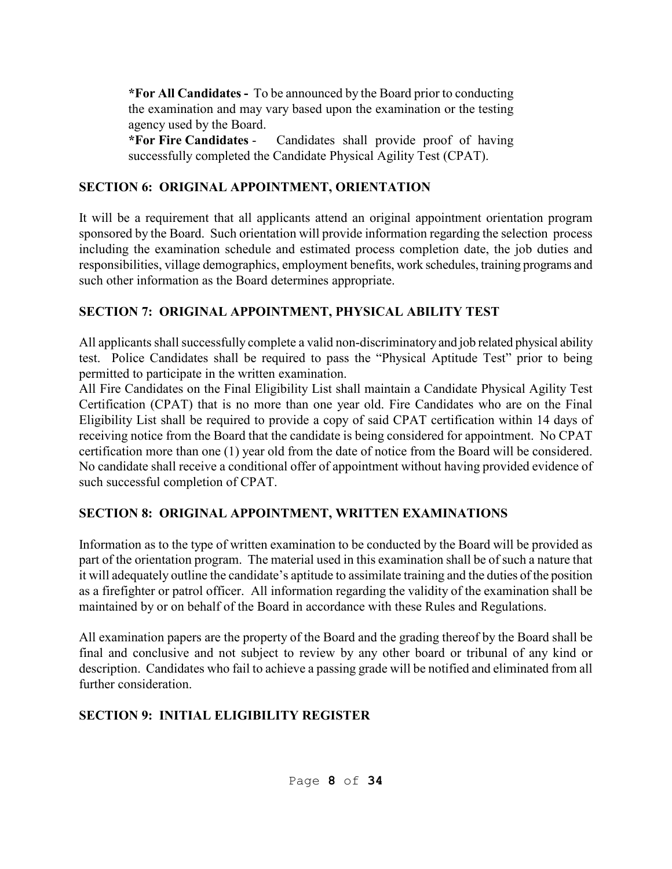**\*For All Candidates -** To be announced by the Board prior to conducting the examination and may vary based upon the examination or the testing agency used by the Board.

**\*For Fire Candidates** - Candidates shall provide proof of having successfully completed the Candidate Physical Agility Test (CPAT).

### **SECTION 6: ORIGINAL APPOINTMENT, ORIENTATION**

It will be a requirement that all applicants attend an original appointment orientation program sponsored by the Board. Such orientation will provide information regarding the selection process including the examination schedule and estimated process completion date, the job duties and responsibilities, village demographics, employment benefits, work schedules, training programs and such other information as the Board determines appropriate.

## **SECTION 7: ORIGINAL APPOINTMENT, PHYSICAL ABILITY TEST**

All applicants shall successfully complete a valid non-discriminatory and job related physical ability test. Police Candidates shall be required to pass the "Physical Aptitude Test" prior to being permitted to participate in the written examination.

All Fire Candidates on the Final Eligibility List shall maintain a Candidate Physical Agility Test Certification (CPAT) that is no more than one year old. Fire Candidates who are on the Final Eligibility List shall be required to provide a copy of said CPAT certification within 14 days of receiving notice from the Board that the candidate is being considered for appointment. No CPAT certification more than one (1) year old from the date of notice from the Board will be considered. No candidate shall receive a conditional offer of appointment without having provided evidence of such successful completion of CPAT.

# **SECTION 8: ORIGINAL APPOINTMENT, WRITTEN EXAMINATIONS**

Information as to the type of written examination to be conducted by the Board will be provided as part of the orientation program. The material used in this examination shall be of such a nature that it will adequately outline the candidate's aptitude to assimilate training and the duties of the position as a firefighter or patrol officer. All information regarding the validity of the examination shall be maintained by or on behalf of the Board in accordance with these Rules and Regulations.

All examination papers are the property of the Board and the grading thereof by the Board shall be final and conclusive and not subject to review by any other board or tribunal of any kind or description. Candidates who fail to achieve a passing grade will be notified and eliminated from all further consideration.

# **SECTION 9: INITIAL ELIGIBILITY REGISTER**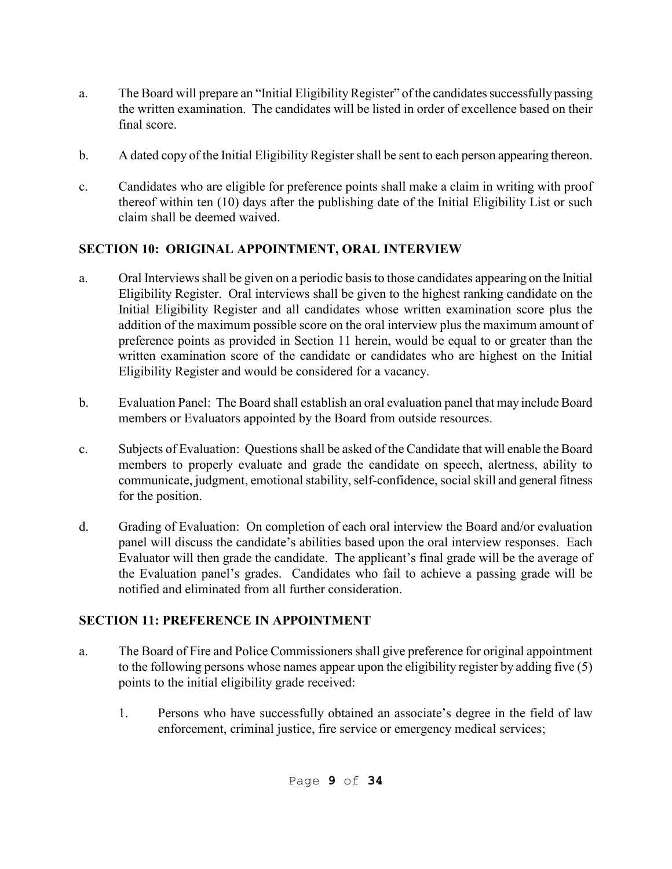- a. The Board will prepare an "Initial Eligibility Register" of the candidates successfully passing the written examination. The candidates will be listed in order of excellence based on their final score.
- b. A dated copy of the Initial Eligibility Register shall be sent to each person appearing thereon.
- c. Candidates who are eligible for preference points shall make a claim in writing with proof thereof within ten (10) days after the publishing date of the Initial Eligibility List or such claim shall be deemed waived.

## **SECTION 10: ORIGINAL APPOINTMENT, ORAL INTERVIEW**

- a. Oral Interviews shall be given on a periodic basis to those candidates appearing on the Initial Eligibility Register. Oral interviews shall be given to the highest ranking candidate on the Initial Eligibility Register and all candidates whose written examination score plus the addition of the maximum possible score on the oral interview plus the maximum amount of preference points as provided in Section 11 herein, would be equal to or greater than the written examination score of the candidate or candidates who are highest on the Initial Eligibility Register and would be considered for a vacancy.
- b. Evaluation Panel: The Board shall establish an oral evaluation panel that may include Board members or Evaluators appointed by the Board from outside resources.
- c. Subjects of Evaluation: Questions shall be asked of the Candidate that will enable the Board members to properly evaluate and grade the candidate on speech, alertness, ability to communicate, judgment, emotional stability, self-confidence, social skill and general fitness for the position.
- d. Grading of Evaluation: On completion of each oral interview the Board and/or evaluation panel will discuss the candidate's abilities based upon the oral interview responses. Each Evaluator will then grade the candidate. The applicant's final grade will be the average of the Evaluation panel's grades. Candidates who fail to achieve a passing grade will be notified and eliminated from all further consideration.

## **SECTION 11: PREFERENCE IN APPOINTMENT**

- a. The Board of Fire and Police Commissioners shall give preference for original appointment to the following persons whose names appear upon the eligibility register by adding five (5) points to the initial eligibility grade received:
	- 1. Persons who have successfully obtained an associate's degree in the field of law enforcement, criminal justice, fire service or emergency medical services;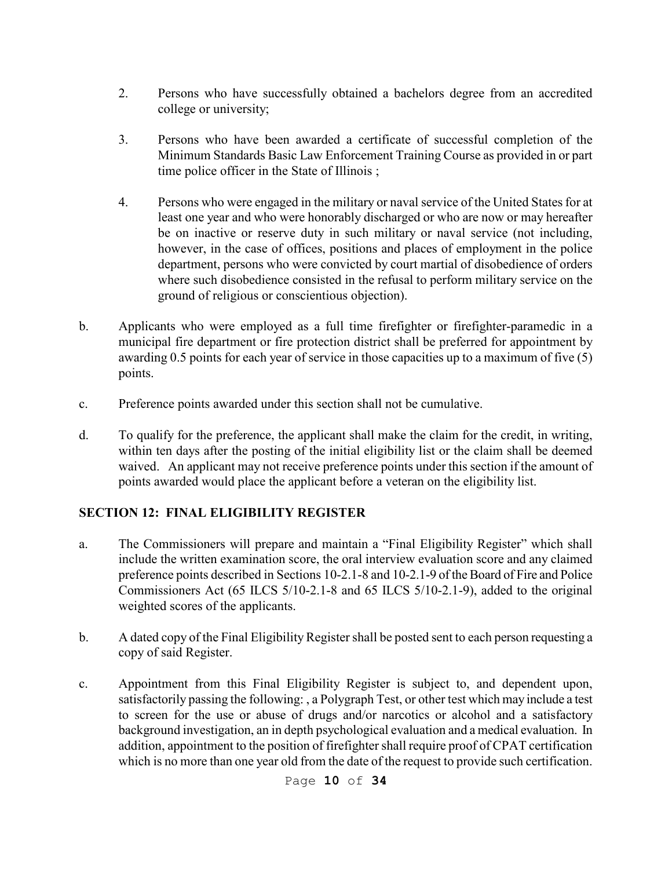- 2. Persons who have successfully obtained a bachelors degree from an accredited college or university;
- 3. Persons who have been awarded a certificate of successful completion of the Minimum Standards Basic Law Enforcement Training Course as provided in or part time police officer in the State of Illinois ;
- 4. Persons who were engaged in the military or naval service of the United States for at least one year and who were honorably discharged or who are now or may hereafter be on inactive or reserve duty in such military or naval service (not including, however, in the case of offices, positions and places of employment in the police department, persons who were convicted by court martial of disobedience of orders where such disobedience consisted in the refusal to perform military service on the ground of religious or conscientious objection).
- b. Applicants who were employed as a full time firefighter or firefighter-paramedic in a municipal fire department or fire protection district shall be preferred for appointment by awarding 0.5 points for each year of service in those capacities up to a maximum of five (5) points.
- c. Preference points awarded under this section shall not be cumulative.
- d. To qualify for the preference, the applicant shall make the claim for the credit, in writing, within ten days after the posting of the initial eligibility list or the claim shall be deemed waived. An applicant may not receive preference points under this section if the amount of points awarded would place the applicant before a veteran on the eligibility list.

### **SECTION 12: FINAL ELIGIBILITY REGISTER**

- a. The Commissioners will prepare and maintain a "Final Eligibility Register" which shall include the written examination score, the oral interview evaluation score and any claimed preference points described in Sections 10-2.1-8 and 10-2.1-9 of the Board of Fire and Police Commissioners Act (65 ILCS 5/10-2.1-8 and 65 ILCS 5/10-2.1-9), added to the original weighted scores of the applicants.
- b. A dated copy of the Final Eligibility Register shall be posted sent to each person requesting a copy of said Register.
- c. Appointment from this Final Eligibility Register is subject to, and dependent upon, satisfactorily passing the following: , a Polygraph Test, or other test which may include a test to screen for the use or abuse of drugs and/or narcotics or alcohol and a satisfactory background investigation, an in depth psychological evaluation and a medical evaluation. In addition, appointment to the position of firefighter shall require proof of CPAT certification which is no more than one year old from the date of the request to provide such certification.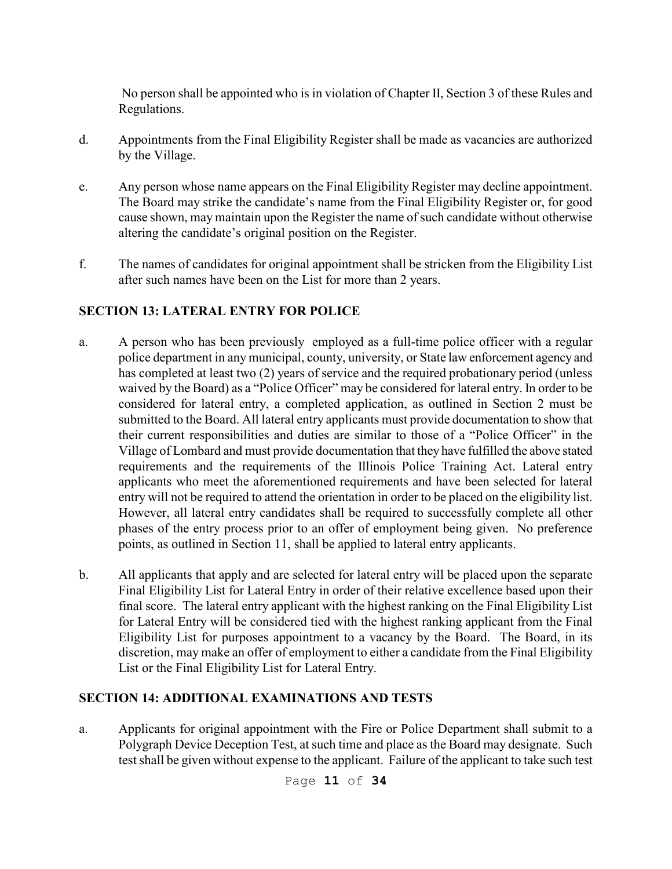No person shall be appointed who is in violation of Chapter II, Section 3 of these Rules and Regulations.

- d. Appointments from the Final Eligibility Register shall be made as vacancies are authorized by the Village.
- e. Any person whose name appears on the Final Eligibility Register may decline appointment. The Board may strike the candidate's name from the Final Eligibility Register or, for good cause shown, may maintain upon the Register the name of such candidate without otherwise altering the candidate's original position on the Register.
- f. The names of candidates for original appointment shall be stricken from the Eligibility List after such names have been on the List for more than 2 years.

### **SECTION 13: LATERAL ENTRY FOR POLICE**

- a. A person who has been previously employed as a full-time police officer with a regular police department in any municipal, county, university, or State law enforcement agency and has completed at least two (2) years of service and the required probationary period (unless waived by the Board) as a "Police Officer" may be considered for lateral entry. In order to be considered for lateral entry, a completed application, as outlined in Section 2 must be submitted to the Board. All lateral entry applicants must provide documentation to show that their current responsibilities and duties are similar to those of a "Police Officer" in the Village of Lombard and must provide documentation that they have fulfilled the above stated requirements and the requirements of the Illinois Police Training Act. Lateral entry applicants who meet the aforementioned requirements and have been selected for lateral entry will not be required to attend the orientation in order to be placed on the eligibility list. However, all lateral entry candidates shall be required to successfully complete all other phases of the entry process prior to an offer of employment being given. No preference points, as outlined in Section 11, shall be applied to lateral entry applicants.
- b. All applicants that apply and are selected for lateral entry will be placed upon the separate Final Eligibility List for Lateral Entry in order of their relative excellence based upon their final score. The lateral entry applicant with the highest ranking on the Final Eligibility List for Lateral Entry will be considered tied with the highest ranking applicant from the Final Eligibility List for purposes appointment to a vacancy by the Board. The Board, in its discretion, may make an offer of employment to either a candidate from the Final Eligibility List or the Final Eligibility List for Lateral Entry.

### **SECTION 14: ADDITIONAL EXAMINATIONS AND TESTS**

a. Applicants for original appointment with the Fire or Police Department shall submit to a Polygraph Device Deception Test, at such time and place as the Board may designate. Such test shall be given without expense to the applicant. Failure of the applicant to take such test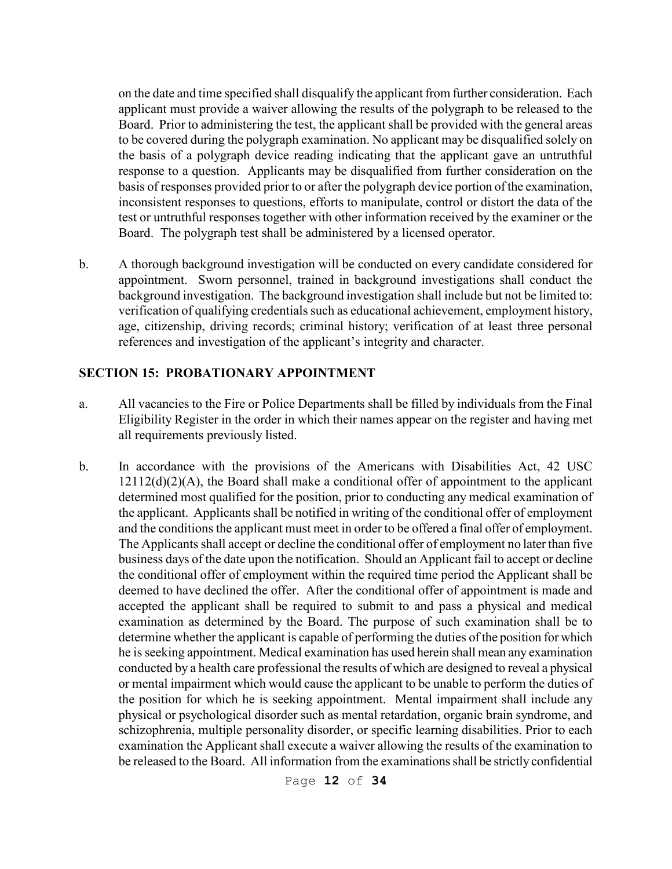on the date and time specified shall disqualify the applicant from further consideration. Each applicant must provide a waiver allowing the results of the polygraph to be released to the Board. Prior to administering the test, the applicant shall be provided with the general areas to be covered during the polygraph examination. No applicant may be disqualified solely on the basis of a polygraph device reading indicating that the applicant gave an untruthful response to a question. Applicants may be disqualified from further consideration on the basis of responses provided prior to or after the polygraph device portion of the examination, inconsistent responses to questions, efforts to manipulate, control or distort the data of the test or untruthful responses together with other information received by the examiner or the Board. The polygraph test shall be administered by a licensed operator.

b. A thorough background investigation will be conducted on every candidate considered for appointment. Sworn personnel, trained in background investigations shall conduct the background investigation. The background investigation shall include but not be limited to: verification of qualifying credentials such as educational achievement, employment history, age, citizenship, driving records; criminal history; verification of at least three personal references and investigation of the applicant's integrity and character.

#### **SECTION 15: PROBATIONARY APPOINTMENT**

- a. All vacancies to the Fire or Police Departments shall be filled by individuals from the Final Eligibility Register in the order in which their names appear on the register and having met all requirements previously listed.
- b. In accordance with the provisions of the Americans with Disabilities Act, 42 USC  $12112(d)(2)(A)$ , the Board shall make a conditional offer of appointment to the applicant determined most qualified for the position, prior to conducting any medical examination of the applicant. Applicants shall be notified in writing of the conditional offer of employment and the conditions the applicant must meet in order to be offered a final offer of employment. The Applicants shall accept or decline the conditional offer of employment no later than five business days of the date upon the notification. Should an Applicant fail to accept or decline the conditional offer of employment within the required time period the Applicant shall be deemed to have declined the offer. After the conditional offer of appointment is made and accepted the applicant shall be required to submit to and pass a physical and medical examination as determined by the Board. The purpose of such examination shall be to determine whether the applicant is capable of performing the duties of the position for which he is seeking appointment. Medical examination has used herein shall mean any examination conducted by a health care professional the results of which are designed to reveal a physical or mental impairment which would cause the applicant to be unable to perform the duties of the position for which he is seeking appointment. Mental impairment shall include any physical or psychological disorder such as mental retardation, organic brain syndrome, and schizophrenia, multiple personality disorder, or specific learning disabilities. Prior to each examination the Applicant shall execute a waiver allowing the results of the examination to be released to the Board. All information from the examinations shall be strictly confidential

Page **12** of **34**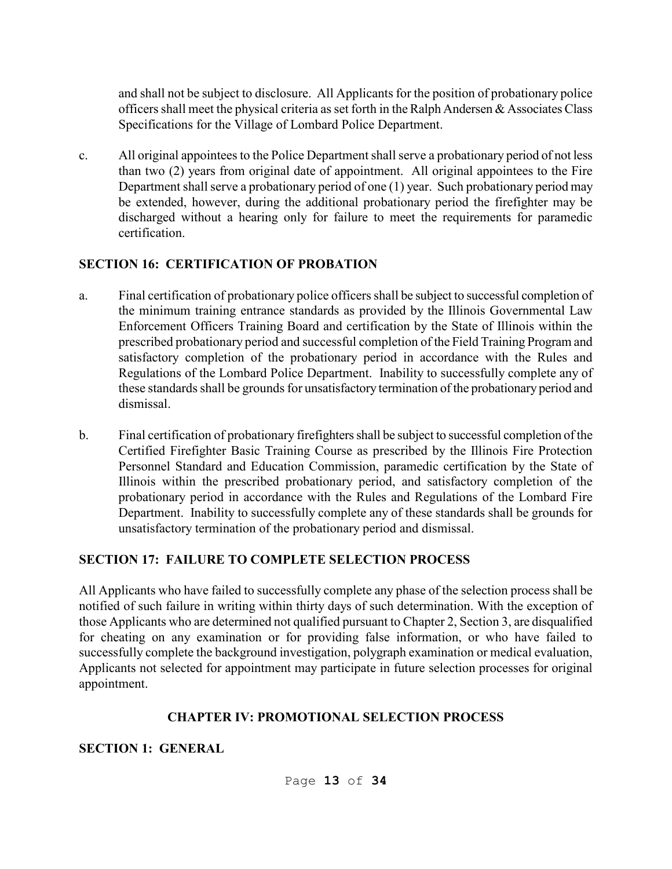and shall not be subject to disclosure. All Applicants for the position of probationary police officers shall meet the physical criteria as set forth in the Ralph Andersen & Associates Class Specifications for the Village of Lombard Police Department.

c. All original appointees to the Police Department shall serve a probationary period of not less than two (2) years from original date of appointment. All original appointees to the Fire Department shall serve a probationary period of one (1) year. Such probationary period may be extended, however, during the additional probationary period the firefighter may be discharged without a hearing only for failure to meet the requirements for paramedic certification.

### **SECTION 16: CERTIFICATION OF PROBATION**

- a. Final certification of probationary police officers shall be subject to successful completion of the minimum training entrance standards as provided by the Illinois Governmental Law Enforcement Officers Training Board and certification by the State of Illinois within the prescribed probationary period and successful completion of the Field Training Program and satisfactory completion of the probationary period in accordance with the Rules and Regulations of the Lombard Police Department. Inability to successfully complete any of these standards shall be grounds for unsatisfactory termination of the probationary period and dismissal.
- b. Final certification of probationary firefighters shall be subject to successful completion of the Certified Firefighter Basic Training Course as prescribed by the Illinois Fire Protection Personnel Standard and Education Commission, paramedic certification by the State of Illinois within the prescribed probationary period, and satisfactory completion of the probationary period in accordance with the Rules and Regulations of the Lombard Fire Department. Inability to successfully complete any of these standards shall be grounds for unsatisfactory termination of the probationary period and dismissal.

### **SECTION 17: FAILURE TO COMPLETE SELECTION PROCESS**

All Applicants who have failed to successfully complete any phase of the selection process shall be notified of such failure in writing within thirty days of such determination. With the exception of those Applicants who are determined not qualified pursuant to Chapter 2, Section 3, are disqualified for cheating on any examination or for providing false information, or who have failed to successfully complete the background investigation, polygraph examination or medical evaluation, Applicants not selected for appointment may participate in future selection processes for original appointment.

### **CHAPTER IV: PROMOTIONAL SELECTION PROCESS**

#### **SECTION 1: GENERAL**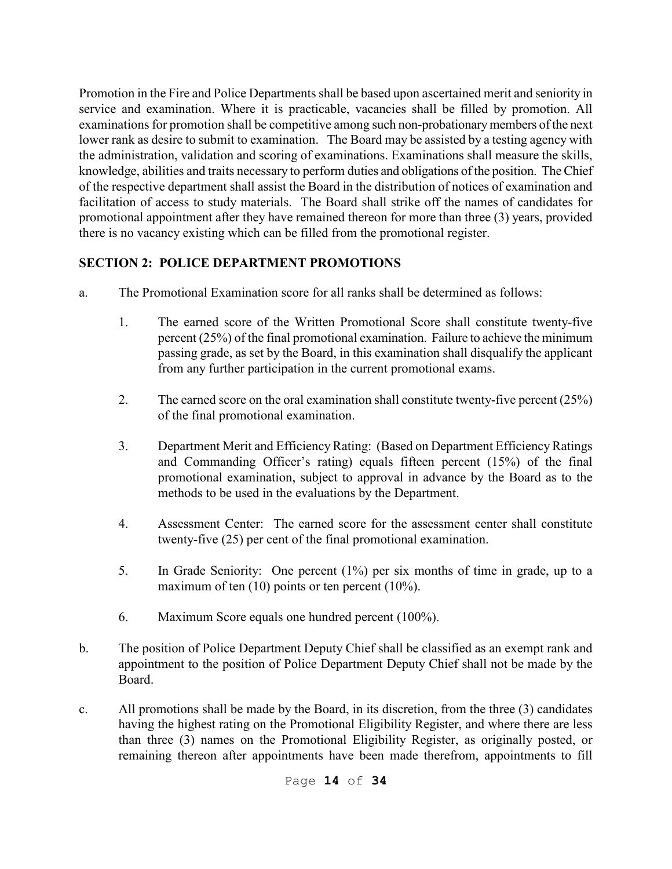Promotion in the Fire and Police Departments shall be based upon ascertained merit and seniority in service and examination. Where it is practicable, vacancies shall be filled by promotion. All examinations for promotion shall be competitive among such non-probationary members of the next lower rank as desire to submit to examination. The Board may be assisted by a testing agency with the administration, validation and scoring of examinations. Examinations shall measure the skills, knowledge, abilities and traits necessary to perform duties and obligations of the position. The Chief of the respective department shall assist the Board in the distribution of notices of examination and facilitation of access to study materials. The Board shall strike off the names of candidates for promotional appointment after they have remained thereon for more than three (3) years, provided there is no vacancy existing which can be filled from the promotional register.

### **SECTION 2: POLICE DEPARTMENT PROMOTIONS**

- a. The Promotional Examination score for all ranks shall be determined as follows:
	- 1. The earned score of the Written Promotional Score shall constitute twenty-five percent (25%) of the final promotional examination. Failure to achieve the minimum passing grade, as set by the Board, in this examination shall disqualify the applicant from any further participation in the current promotional exams.
	- 2. The earned score on the oral examination shall constitute twenty-five percent (25%) of the final promotional examination.
	- 3. Department Merit and Efficiency Rating: (Based on Department Efficiency Ratings and Commanding Officer's rating) equals fifteen percent (15%) of the final promotional examination, subject to approval in advance by the Board as to the methods to be used in the evaluations by the Department.
	- 4. Assessment Center: The earned score for the assessment center shall constitute twenty-five (25) per cent of the final promotional examination.
	- 5. In Grade Seniority: One percent (1%) per six months of time in grade, up to a maximum of ten (10) points or ten percent (10%).
	- 6. Maximum Score equals one hundred percent (100%).
- b. The position of Police Department Deputy Chief shall be classified as an exempt rank and appointment to the position of Police Department Deputy Chief shall not be made by the Board.
- c. All promotions shall be made by the Board, in its discretion, from the three (3) candidates having the highest rating on the Promotional Eligibility Register, and where there are less than three (3) names on the Promotional Eligibility Register, as originally posted, or remaining thereon after appointments have been made therefrom, appointments to fill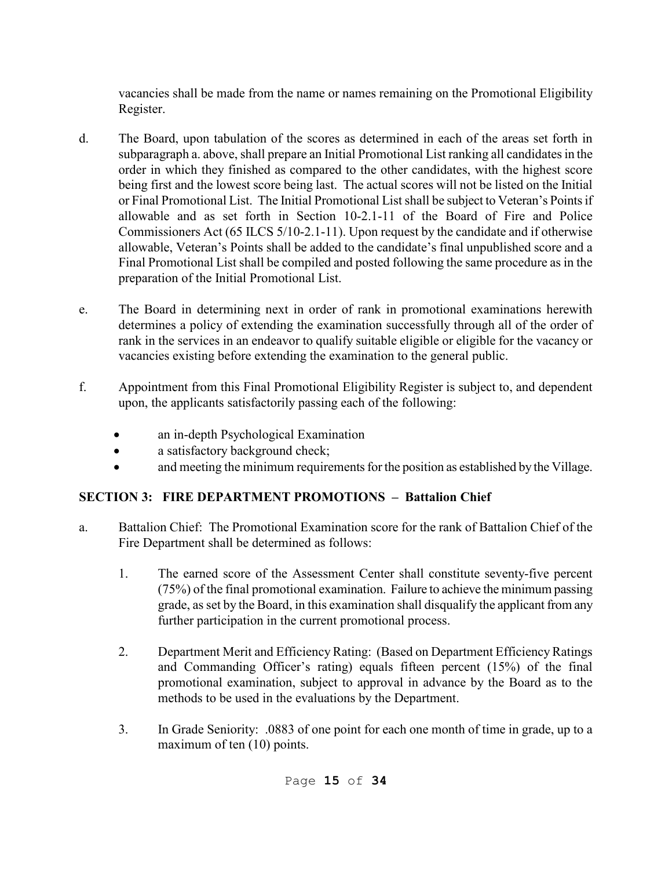vacancies shall be made from the name or names remaining on the Promotional Eligibility Register.

- d. The Board, upon tabulation of the scores as determined in each of the areas set forth in subparagraph a. above, shall prepare an Initial Promotional List ranking all candidates in the order in which they finished as compared to the other candidates, with the highest score being first and the lowest score being last. The actual scores will not be listed on the Initial or Final Promotional List. The Initial Promotional List shall be subject to Veteran's Points if allowable and as set forth in Section 10-2.1-11 of the Board of Fire and Police Commissioners Act (65 ILCS 5/10-2.1-11). Upon request by the candidate and if otherwise allowable, Veteran's Points shall be added to the candidate's final unpublished score and a Final Promotional List shall be compiled and posted following the same procedure as in the preparation of the Initial Promotional List.
- e. The Board in determining next in order of rank in promotional examinations herewith determines a policy of extending the examination successfully through all of the order of rank in the services in an endeavor to qualify suitable eligible or eligible for the vacancy or vacancies existing before extending the examination to the general public.
- f. Appointment from this Final Promotional Eligibility Register is subject to, and dependent upon, the applicants satisfactorily passing each of the following:
	- an in-depth Psychological Examination
	- a satisfactory background check;
	- and meeting the minimum requirements for the position as established by the Village.

### **SECTION 3: FIRE DEPARTMENT PROMOTIONS – Battalion Chief**

- a. Battalion Chief: The Promotional Examination score for the rank of Battalion Chief of the Fire Department shall be determined as follows:
	- 1. The earned score of the Assessment Center shall constitute seventy-five percent (75%) of the final promotional examination. Failure to achieve the minimum passing grade, as set by the Board, in this examination shall disqualify the applicant from any further participation in the current promotional process.
	- 2. Department Merit and Efficiency Rating: (Based on Department Efficiency Ratings and Commanding Officer's rating) equals fifteen percent (15%) of the final promotional examination, subject to approval in advance by the Board as to the methods to be used in the evaluations by the Department.
	- 3. In Grade Seniority: .0883 of one point for each one month of time in grade, up to a maximum of ten (10) points.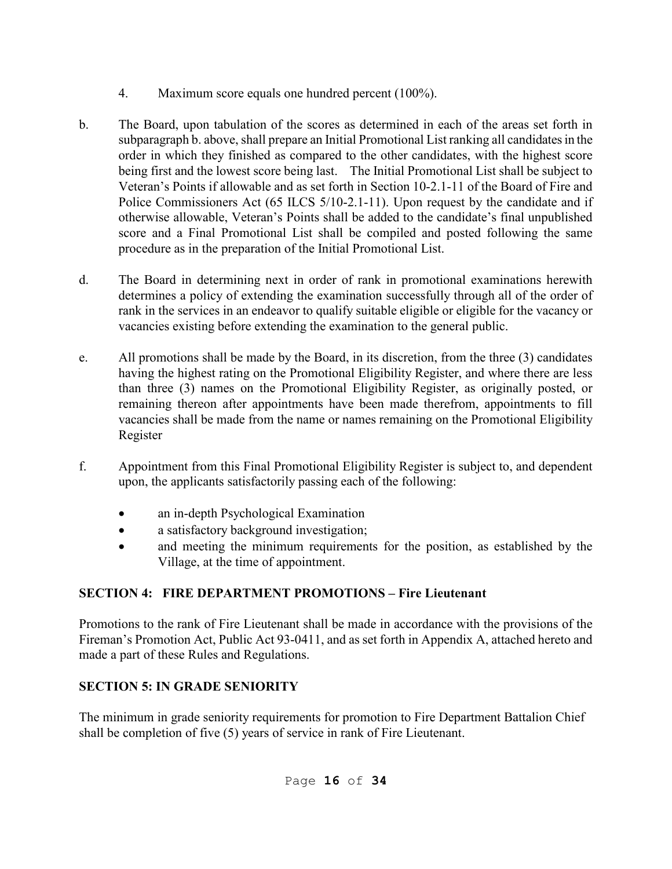- 4. Maximum score equals one hundred percent (100%).
- b. The Board, upon tabulation of the scores as determined in each of the areas set forth in subparagraph b. above, shall prepare an Initial Promotional List ranking all candidates in the order in which they finished as compared to the other candidates, with the highest score being first and the lowest score being last. The Initial Promotional List shall be subject to Veteran's Points if allowable and as set forth in Section 10-2.1-11 of the Board of Fire and Police Commissioners Act (65 ILCS 5/10-2.1-11). Upon request by the candidate and if otherwise allowable, Veteran's Points shall be added to the candidate's final unpublished score and a Final Promotional List shall be compiled and posted following the same procedure as in the preparation of the Initial Promotional List.
- d. The Board in determining next in order of rank in promotional examinations herewith determines a policy of extending the examination successfully through all of the order of rank in the services in an endeavor to qualify suitable eligible or eligible for the vacancy or vacancies existing before extending the examination to the general public.
- e. All promotions shall be made by the Board, in its discretion, from the three (3) candidates having the highest rating on the Promotional Eligibility Register, and where there are less than three (3) names on the Promotional Eligibility Register, as originally posted, or remaining thereon after appointments have been made therefrom, appointments to fill vacancies shall be made from the name or names remaining on the Promotional Eligibility Register
- f. Appointment from this Final Promotional Eligibility Register is subject to, and dependent upon, the applicants satisfactorily passing each of the following:
	- an in-depth Psychological Examination
	- a satisfactory background investigation;
	- and meeting the minimum requirements for the position, as established by the Village, at the time of appointment.

# **SECTION 4: FIRE DEPARTMENT PROMOTIONS – Fire Lieutenant**

Promotions to the rank of Fire Lieutenant shall be made in accordance with the provisions of the Fireman's Promotion Act, Public Act 93-0411, and as set forth in Appendix A, attached hereto and made a part of these Rules and Regulations.

# **SECTION 5: IN GRADE SENIORITY**

The minimum in grade seniority requirements for promotion to Fire Department Battalion Chief shall be completion of five (5) years of service in rank of Fire Lieutenant.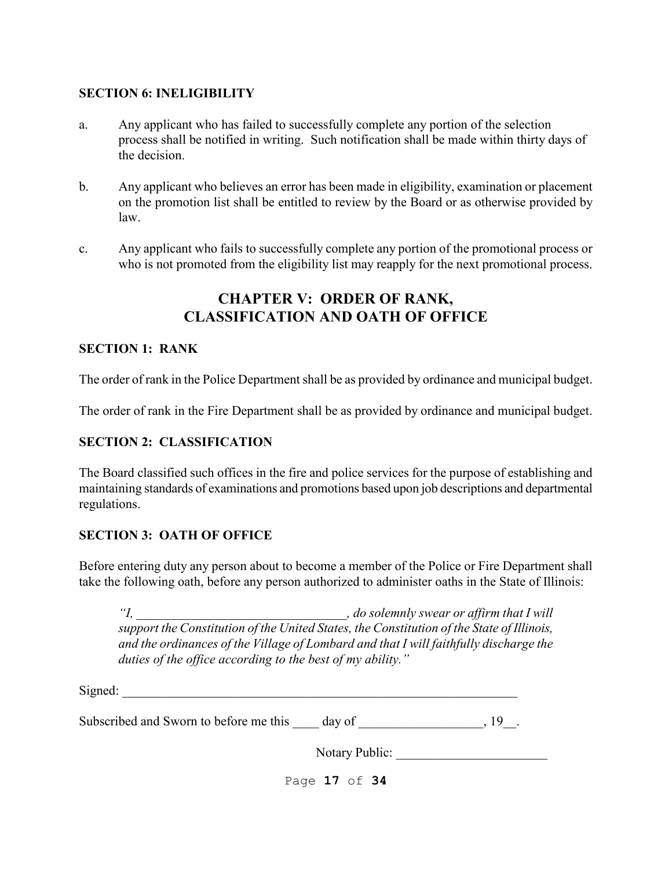#### **SECTION 6: INELIGIBILITY**

- a. Any applicant who has failed to successfully complete any portion of the selection process shall be notified in writing. Such notification shall be made within thirty days of the decision.
- b. Any applicant who believes an error has been made in eligibility, examination or placement on the promotion list shall be entitled to review by the Board or as otherwise provided by law.
- c. Any applicant who fails to successfully complete any portion of the promotional process or who is not promoted from the eligibility list may reapply for the next promotional process.

## **CHAPTER V: ORDER OF RANK, CLASSIFICATION AND OATH OF OFFICE**

#### **SECTION 1: RANK**

The order of rank in the Police Department shall be as provided by ordinance and municipal budget.

The order of rank in the Fire Department shall be as provided by ordinance and municipal budget.

#### **SECTION 2: CLASSIFICATION**

The Board classified such offices in the fire and police services for the purpose of establishing and maintaining standards of examinations and promotions based upon job descriptions and departmental regulations.

#### **SECTION 3: OATH OF OFFICE**

Before entering duty any person about to become a member of the Police or Fire Department shall take the following oath, before any person authorized to administer oaths in the State of Illinois:

*"I, \_\_\_\_\_\_\_\_\_\_\_\_\_\_\_\_\_\_\_\_\_\_\_\_\_\_\_\_\_\_\_\_, do solemnly swear or affirm that I will support the Constitution of the United States, the Constitution of the State of Illinois, and the ordinances of the Village of Lombard and that I will faithfully discharge the duties of the office according to the best of my ability."* 

 $Signed:$ 

Subscribed and Sworn to before me this day of \_\_\_\_\_\_\_\_\_\_\_\_\_\_\_\_\_\_\_\_\_\_, 19\_\_\_.

Notary Public: \_\_\_\_\_\_\_\_\_\_\_\_\_\_\_\_\_\_\_\_\_\_\_

Page **17** of **34**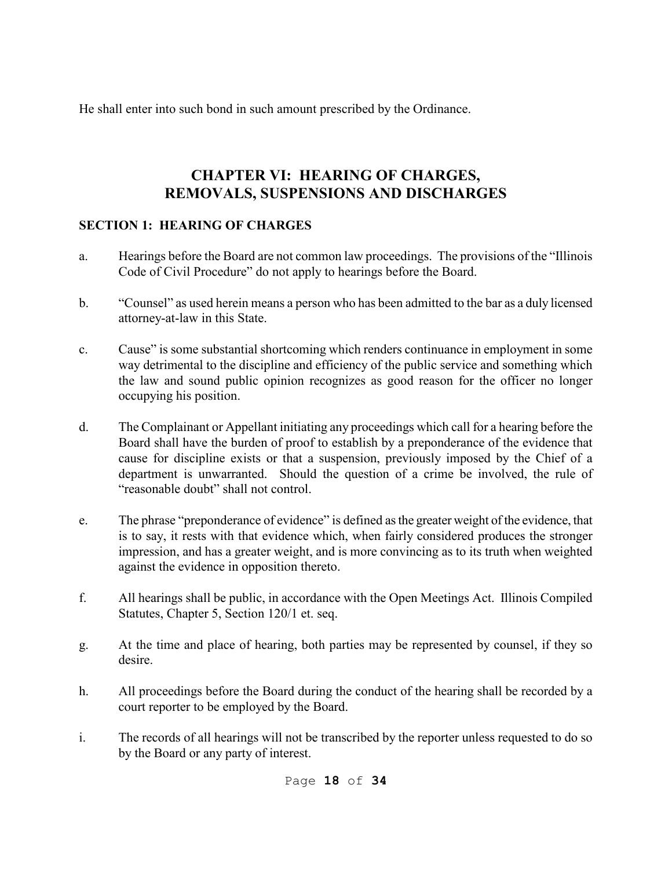He shall enter into such bond in such amount prescribed by the Ordinance.

# **CHAPTER VI: HEARING OF CHARGES, REMOVALS, SUSPENSIONS AND DISCHARGES**

### **SECTION 1: HEARING OF CHARGES**

- a. Hearings before the Board are not common law proceedings. The provisions of the "Illinois Code of Civil Procedure" do not apply to hearings before the Board.
- b. "Counsel" as used herein means a person who has been admitted to the bar as a duly licensed attorney-at-law in this State.
- c. Cause" is some substantial shortcoming which renders continuance in employment in some way detrimental to the discipline and efficiency of the public service and something which the law and sound public opinion recognizes as good reason for the officer no longer occupying his position.
- d. The Complainant or Appellant initiating any proceedings which call for a hearing before the Board shall have the burden of proof to establish by a preponderance of the evidence that cause for discipline exists or that a suspension, previously imposed by the Chief of a department is unwarranted. Should the question of a crime be involved, the rule of "reasonable doubt" shall not control.
- e. The phrase "preponderance of evidence" is defined as the greater weight of the evidence, that is to say, it rests with that evidence which, when fairly considered produces the stronger impression, and has a greater weight, and is more convincing as to its truth when weighted against the evidence in opposition thereto.
- f. All hearings shall be public, in accordance with the Open Meetings Act. Illinois Compiled Statutes, Chapter 5, Section 120/1 et. seq.
- g. At the time and place of hearing, both parties may be represented by counsel, if they so desire.
- h. All proceedings before the Board during the conduct of the hearing shall be recorded by a court reporter to be employed by the Board.
- i. The records of all hearings will not be transcribed by the reporter unless requested to do so by the Board or any party of interest.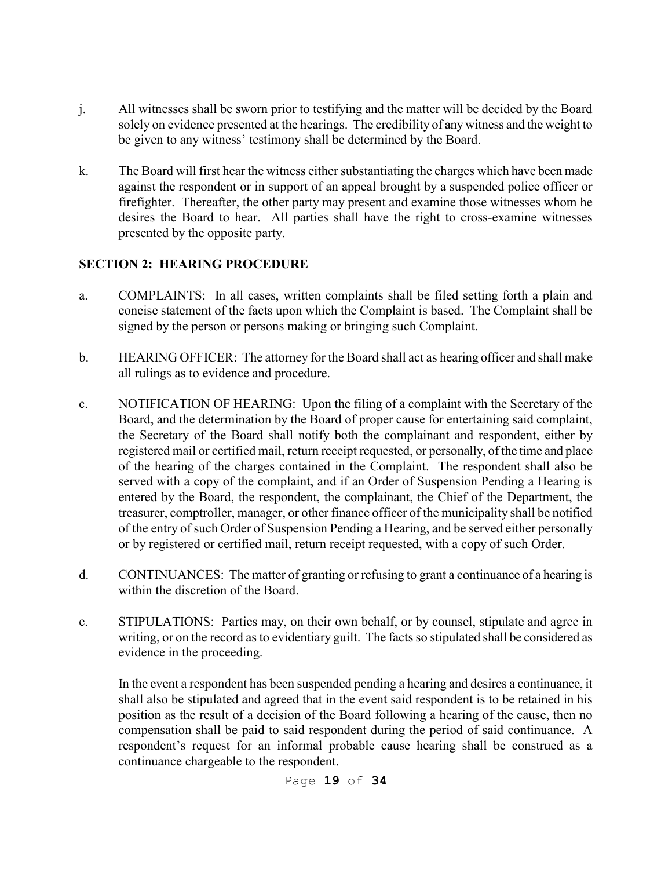- j. All witnesses shall be sworn prior to testifying and the matter will be decided by the Board solely on evidence presented at the hearings. The credibility of any witness and the weight to be given to any witness' testimony shall be determined by the Board.
- k. The Board will first hear the witness either substantiating the charges which have been made against the respondent or in support of an appeal brought by a suspended police officer or firefighter. Thereafter, the other party may present and examine those witnesses whom he desires the Board to hear. All parties shall have the right to cross-examine witnesses presented by the opposite party.

### **SECTION 2: HEARING PROCEDURE**

- a. COMPLAINTS: In all cases, written complaints shall be filed setting forth a plain and concise statement of the facts upon which the Complaint is based. The Complaint shall be signed by the person or persons making or bringing such Complaint.
- b. HEARING OFFICER: The attorney for the Board shall act as hearing officer and shall make all rulings as to evidence and procedure.
- c. NOTIFICATION OF HEARING: Upon the filing of a complaint with the Secretary of the Board, and the determination by the Board of proper cause for entertaining said complaint, the Secretary of the Board shall notify both the complainant and respondent, either by registered mail or certified mail, return receipt requested, or personally, of the time and place of the hearing of the charges contained in the Complaint. The respondent shall also be served with a copy of the complaint, and if an Order of Suspension Pending a Hearing is entered by the Board, the respondent, the complainant, the Chief of the Department, the treasurer, comptroller, manager, or other finance officer of the municipality shall be notified of the entry of such Order of Suspension Pending a Hearing, and be served either personally or by registered or certified mail, return receipt requested, with a copy of such Order.
- d. CONTINUANCES: The matter of granting or refusing to grant a continuance of a hearing is within the discretion of the Board.
- e. STIPULATIONS: Parties may, on their own behalf, or by counsel, stipulate and agree in writing, or on the record as to evidentiary guilt. The facts so stipulated shall be considered as evidence in the proceeding.

In the event a respondent has been suspended pending a hearing and desires a continuance, it shall also be stipulated and agreed that in the event said respondent is to be retained in his position as the result of a decision of the Board following a hearing of the cause, then no compensation shall be paid to said respondent during the period of said continuance. A respondent's request for an informal probable cause hearing shall be construed as a continuance chargeable to the respondent.

Page **19** of **34**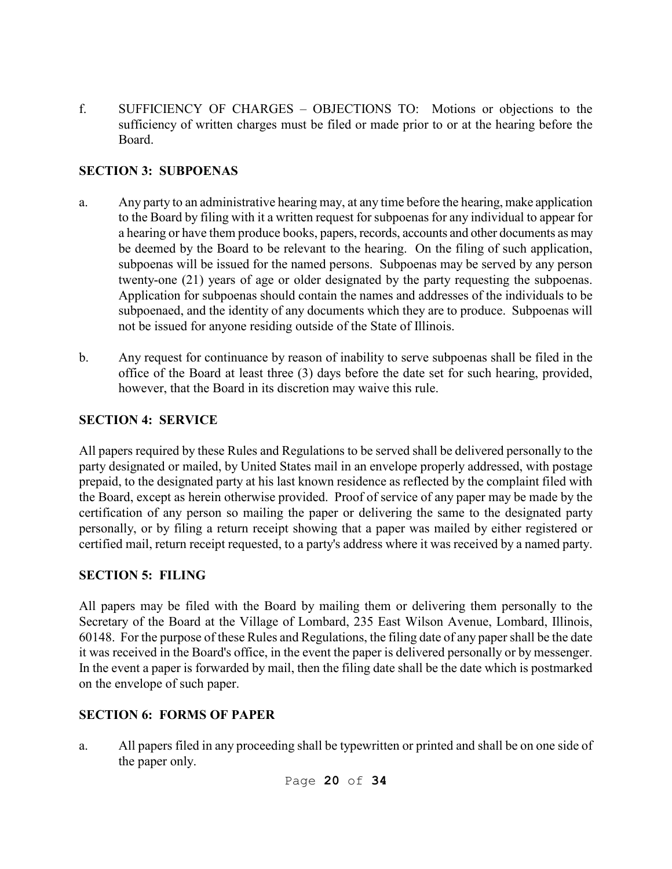f. SUFFICIENCY OF CHARGES – OBJECTIONS TO: Motions or objections to the sufficiency of written charges must be filed or made prior to or at the hearing before the Board.

### **SECTION 3: SUBPOENAS**

- a. Any party to an administrative hearing may, at any time before the hearing, make application to the Board by filing with it a written request for subpoenas for any individual to appear for a hearing or have them produce books, papers, records, accounts and other documents as may be deemed by the Board to be relevant to the hearing. On the filing of such application, subpoenas will be issued for the named persons. Subpoenas may be served by any person twenty-one (21) years of age or older designated by the party requesting the subpoenas. Application for subpoenas should contain the names and addresses of the individuals to be subpoenaed, and the identity of any documents which they are to produce. Subpoenas will not be issued for anyone residing outside of the State of Illinois.
- b. Any request for continuance by reason of inability to serve subpoenas shall be filed in the office of the Board at least three (3) days before the date set for such hearing, provided, however, that the Board in its discretion may waive this rule.

#### **SECTION 4: SERVICE**

All papers required by these Rules and Regulations to be served shall be delivered personally to the party designated or mailed, by United States mail in an envelope properly addressed, with postage prepaid, to the designated party at his last known residence as reflected by the complaint filed with the Board, except as herein otherwise provided. Proof of service of any paper may be made by the certification of any person so mailing the paper or delivering the same to the designated party personally, or by filing a return receipt showing that a paper was mailed by either registered or certified mail, return receipt requested, to a party's address where it was received by a named party.

### **SECTION 5: FILING**

All papers may be filed with the Board by mailing them or delivering them personally to the Secretary of the Board at the Village of Lombard, 235 East Wilson Avenue, Lombard, Illinois, 60148. For the purpose of these Rules and Regulations, the filing date of any paper shall be the date it was received in the Board's office, in the event the paper is delivered personally or by messenger. In the event a paper is forwarded by mail, then the filing date shall be the date which is postmarked on the envelope of such paper.

### **SECTION 6: FORMS OF PAPER**

a. All papers filed in any proceeding shall be typewritten or printed and shall be on one side of the paper only.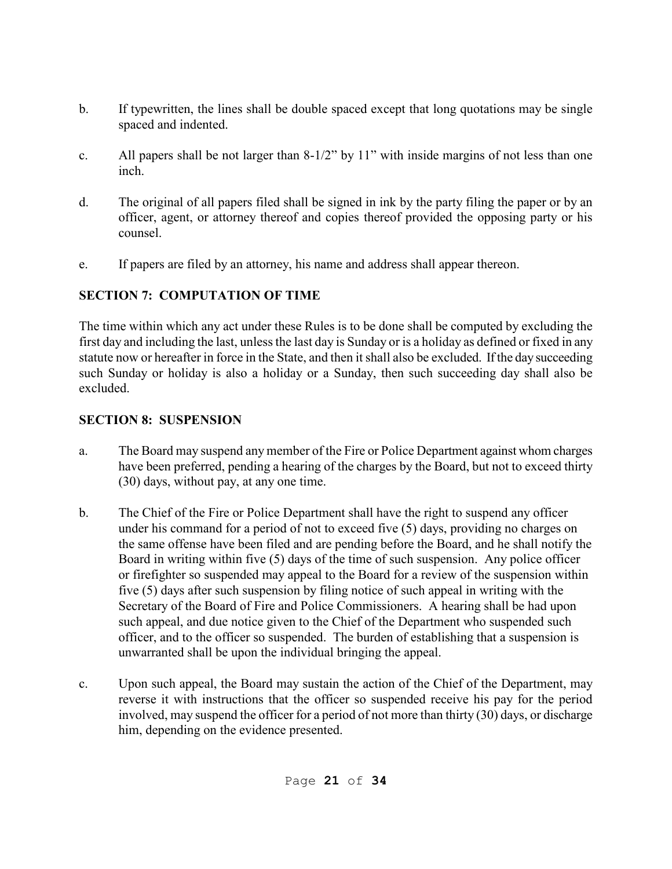- b. If typewritten, the lines shall be double spaced except that long quotations may be single spaced and indented.
- c. All papers shall be not larger than 8-1/2" by 11" with inside margins of not less than one inch.
- d. The original of all papers filed shall be signed in ink by the party filing the paper or by an officer, agent, or attorney thereof and copies thereof provided the opposing party or his counsel.
- e. If papers are filed by an attorney, his name and address shall appear thereon.

## **SECTION 7: COMPUTATION OF TIME**

The time within which any act under these Rules is to be done shall be computed by excluding the first day and including the last, unless the last day is Sunday or is a holiday as defined or fixed in any statute now or hereafter in force in the State, and then it shall also be excluded. If the day succeeding such Sunday or holiday is also a holiday or a Sunday, then such succeeding day shall also be excluded.

## **SECTION 8: SUSPENSION**

- a. The Board may suspend any member of the Fire or Police Department against whom charges have been preferred, pending a hearing of the charges by the Board, but not to exceed thirty (30) days, without pay, at any one time.
- b. The Chief of the Fire or Police Department shall have the right to suspend any officer under his command for a period of not to exceed five (5) days, providing no charges on the same offense have been filed and are pending before the Board, and he shall notify the Board in writing within five (5) days of the time of such suspension. Any police officer or firefighter so suspended may appeal to the Board for a review of the suspension within five (5) days after such suspension by filing notice of such appeal in writing with the Secretary of the Board of Fire and Police Commissioners. A hearing shall be had upon such appeal, and due notice given to the Chief of the Department who suspended such officer, and to the officer so suspended. The burden of establishing that a suspension is unwarranted shall be upon the individual bringing the appeal.
- c. Upon such appeal, the Board may sustain the action of the Chief of the Department, may reverse it with instructions that the officer so suspended receive his pay for the period involved, may suspend the officer for a period of not more than thirty (30) days, or discharge him, depending on the evidence presented.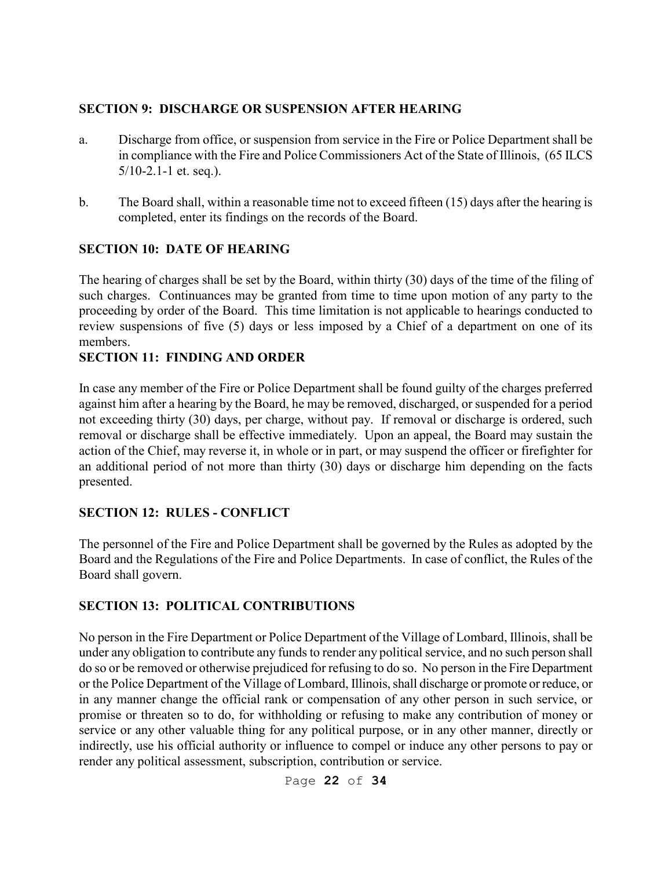#### **SECTION 9: DISCHARGE OR SUSPENSION AFTER HEARING**

- a. Discharge from office, or suspension from service in the Fire or Police Department shall be in compliance with the Fire and Police Commissioners Act of the State of Illinois, (65 ILCS  $5/10-2.1-1$  et. seq.).
- b. The Board shall, within a reasonable time not to exceed fifteen (15) days after the hearing is completed, enter its findings on the records of the Board.

### **SECTION 10: DATE OF HEARING**

The hearing of charges shall be set by the Board, within thirty (30) days of the time of the filing of such charges. Continuances may be granted from time to time upon motion of any party to the proceeding by order of the Board. This time limitation is not applicable to hearings conducted to review suspensions of five (5) days or less imposed by a Chief of a department on one of its members.

#### **SECTION 11: FINDING AND ORDER**

In case any member of the Fire or Police Department shall be found guilty of the charges preferred against him after a hearing by the Board, he may be removed, discharged, or suspended for a period not exceeding thirty (30) days, per charge, without pay. If removal or discharge is ordered, such removal or discharge shall be effective immediately. Upon an appeal, the Board may sustain the action of the Chief, may reverse it, in whole or in part, or may suspend the officer or firefighter for an additional period of not more than thirty (30) days or discharge him depending on the facts presented.

### **SECTION 12: RULES - CONFLICT**

The personnel of the Fire and Police Department shall be governed by the Rules as adopted by the Board and the Regulations of the Fire and Police Departments. In case of conflict, the Rules of the Board shall govern.

### **SECTION 13: POLITICAL CONTRIBUTIONS**

No person in the Fire Department or Police Department of the Village of Lombard, Illinois, shall be under any obligation to contribute any funds to render any political service, and no such person shall do so or be removed or otherwise prejudiced for refusing to do so. No person in the Fire Department or the Police Department of the Village of Lombard, Illinois, shall discharge or promote or reduce, or in any manner change the official rank or compensation of any other person in such service, or promise or threaten so to do, for withholding or refusing to make any contribution of money or service or any other valuable thing for any political purpose, or in any other manner, directly or indirectly, use his official authority or influence to compel or induce any other persons to pay or render any political assessment, subscription, contribution or service.

Page **22** of **34**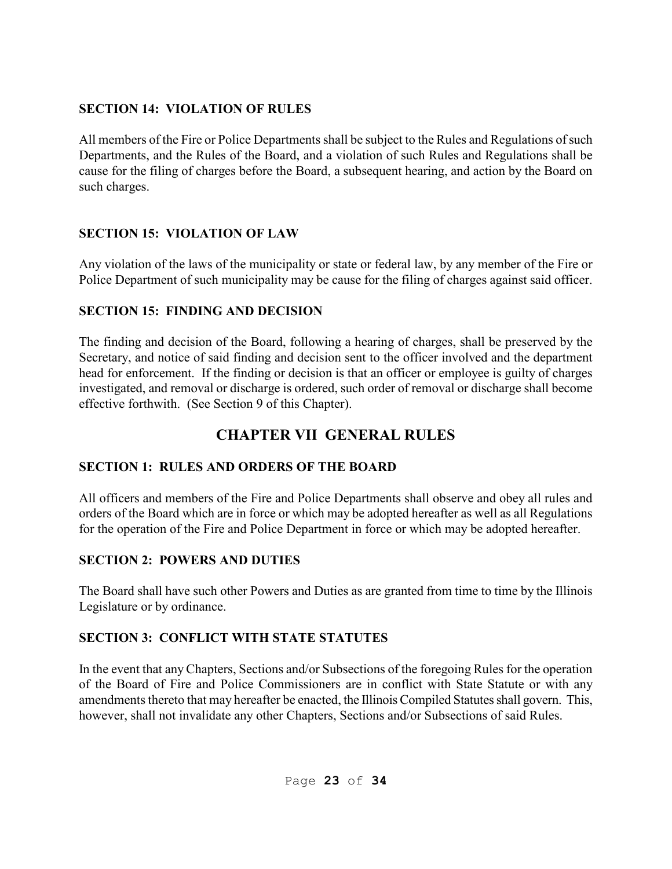### **SECTION 14: VIOLATION OF RULES**

All members of the Fire or Police Departments shall be subject to the Rules and Regulations of such Departments, and the Rules of the Board, and a violation of such Rules and Regulations shall be cause for the filing of charges before the Board, a subsequent hearing, and action by the Board on such charges.

## **SECTION 15: VIOLATION OF LAW**

Any violation of the laws of the municipality or state or federal law, by any member of the Fire or Police Department of such municipality may be cause for the filing of charges against said officer.

## **SECTION 15: FINDING AND DECISION**

The finding and decision of the Board, following a hearing of charges, shall be preserved by the Secretary, and notice of said finding and decision sent to the officer involved and the department head for enforcement. If the finding or decision is that an officer or employee is guilty of charges investigated, and removal or discharge is ordered, such order of removal or discharge shall become effective forthwith. (See Section 9 of this Chapter).

# **CHAPTER VII GENERAL RULES**

# **SECTION 1: RULES AND ORDERS OF THE BOARD**

All officers and members of the Fire and Police Departments shall observe and obey all rules and orders of the Board which are in force or which may be adopted hereafter as well as all Regulations for the operation of the Fire and Police Department in force or which may be adopted hereafter.

## **SECTION 2: POWERS AND DUTIES**

The Board shall have such other Powers and Duties as are granted from time to time by the Illinois Legislature or by ordinance.

## **SECTION 3: CONFLICT WITH STATE STATUTES**

In the event that any Chapters, Sections and/or Subsections of the foregoing Rules for the operation of the Board of Fire and Police Commissioners are in conflict with State Statute or with any amendments thereto that may hereafter be enacted, the Illinois Compiled Statutes shall govern. This, however, shall not invalidate any other Chapters, Sections and/or Subsections of said Rules.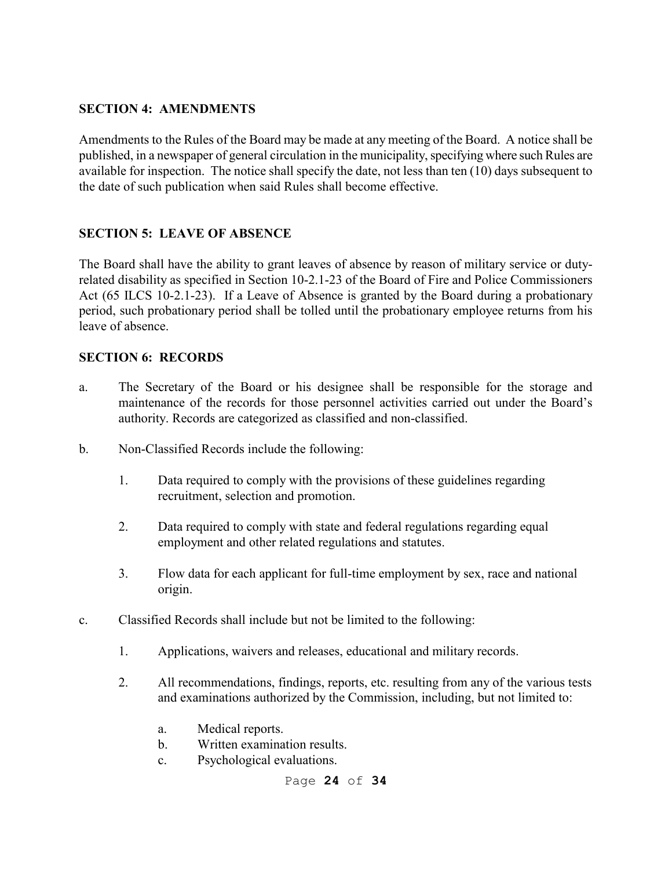#### **SECTION 4: AMENDMENTS**

Amendments to the Rules of the Board may be made at any meeting of the Board. A notice shall be published, in a newspaper of general circulation in the municipality, specifying where such Rules are available for inspection. The notice shall specify the date, not less than ten (10) days subsequent to the date of such publication when said Rules shall become effective.

### **SECTION 5: LEAVE OF ABSENCE**

The Board shall have the ability to grant leaves of absence by reason of military service or dutyrelated disability as specified in Section 10-2.1-23 of the Board of Fire and Police Commissioners Act (65 ILCS 10-2.1-23). If a Leave of Absence is granted by the Board during a probationary period, such probationary period shall be tolled until the probationary employee returns from his leave of absence.

#### **SECTION 6: RECORDS**

- a. The Secretary of the Board or his designee shall be responsible for the storage and maintenance of the records for those personnel activities carried out under the Board's authority. Records are categorized as classified and non-classified.
- b. Non-Classified Records include the following:
	- 1. Data required to comply with the provisions of these guidelines regarding recruitment, selection and promotion.
	- 2. Data required to comply with state and federal regulations regarding equal employment and other related regulations and statutes.
	- 3. Flow data for each applicant for full-time employment by sex, race and national origin.
- c. Classified Records shall include but not be limited to the following:
	- 1. Applications, waivers and releases, educational and military records.
	- 2. All recommendations, findings, reports, etc. resulting from any of the various tests and examinations authorized by the Commission, including, but not limited to:
		- a. Medical reports.
		- b. Written examination results.
		- c. Psychological evaluations.

Page **24** of **34**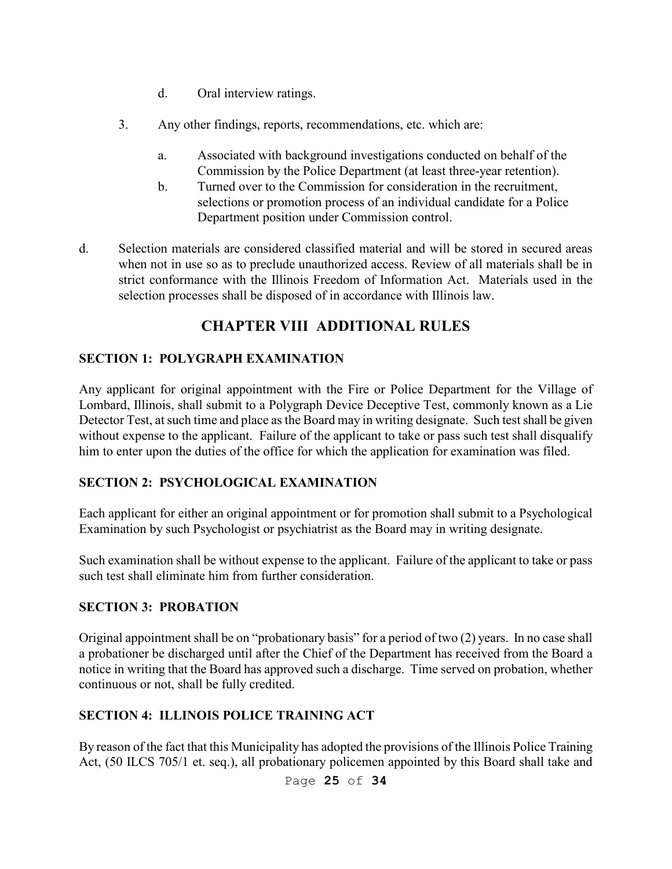- d. Oral interview ratings.
- 3. Any other findings, reports, recommendations, etc. which are:
	- a. Associated with background investigations conducted on behalf of the Commission by the Police Department (at least three-year retention).
	- b. Turned over to the Commission for consideration in the recruitment, selections or promotion process of an individual candidate for a Police Department position under Commission control.
- d. Selection materials are considered classified material and will be stored in secured areas when not in use so as to preclude unauthorized access. Review of all materials shall be in strict conformance with the Illinois Freedom of Information Act. Materials used in the selection processes shall be disposed of in accordance with Illinois law.

# **CHAPTER VIII ADDITIONAL RULES**

### **SECTION 1: POLYGRAPH EXAMINATION**

Any applicant for original appointment with the Fire or Police Department for the Village of Lombard, Illinois, shall submit to a Polygraph Device Deceptive Test, commonly known as a Lie Detector Test, at such time and place as the Board may in writing designate. Such test shall be given without expense to the applicant. Failure of the applicant to take or pass such test shall disqualify him to enter upon the duties of the office for which the application for examination was filed.

### **SECTION 2: PSYCHOLOGICAL EXAMINATION**

Each applicant for either an original appointment or for promotion shall submit to a Psychological Examination by such Psychologist or psychiatrist as the Board may in writing designate.

Such examination shall be without expense to the applicant. Failure of the applicant to take or pass such test shall eliminate him from further consideration.

#### **SECTION 3: PROBATION**

Original appointment shall be on "probationary basis" for a period of two (2) years. In no case shall a probationer be discharged until after the Chief of the Department has received from the Board a notice in writing that the Board has approved such a discharge. Time served on probation, whether continuous or not, shall be fully credited.

### **SECTION 4: ILLINOIS POLICE TRAINING ACT**

By reason of the fact that this Municipality has adopted the provisions of the Illinois Police Training Act, (50 ILCS 705/1 et. seq.), all probationary policemen appointed by this Board shall take and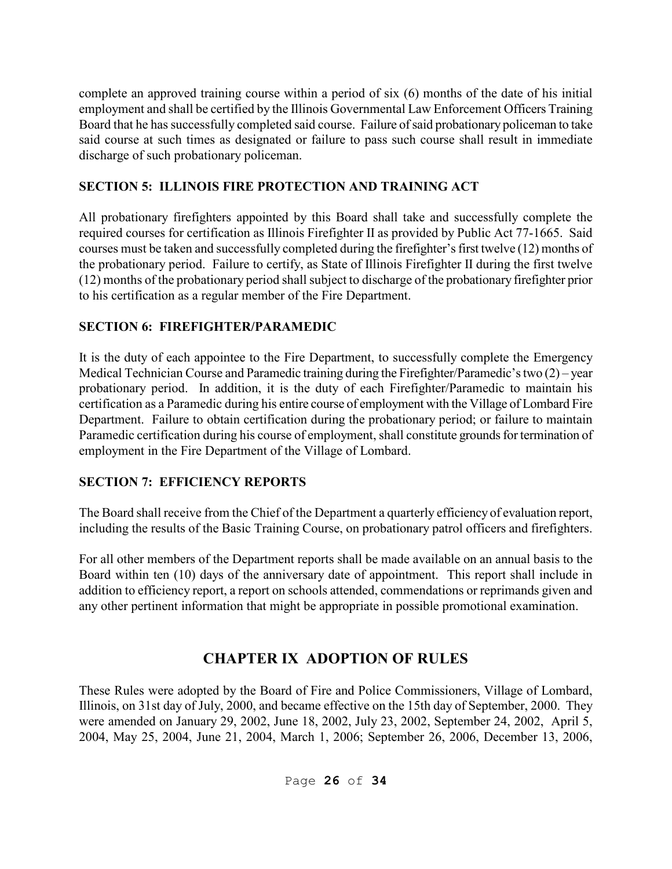complete an approved training course within a period of six (6) months of the date of his initial employment and shall be certified by the Illinois Governmental Law Enforcement Officers Training Board that he has successfully completed said course. Failure of said probationary policeman to take said course at such times as designated or failure to pass such course shall result in immediate discharge of such probationary policeman.

## **SECTION 5: ILLINOIS FIRE PROTECTION AND TRAINING ACT**

All probationary firefighters appointed by this Board shall take and successfully complete the required courses for certification as Illinois Firefighter II as provided by Public Act 77-1665. Said courses must be taken and successfully completed during the firefighter's first twelve (12) months of the probationary period. Failure to certify, as State of Illinois Firefighter II during the first twelve (12) months of the probationary period shall subject to discharge of the probationary firefighter prior to his certification as a regular member of the Fire Department.

## **SECTION 6: FIREFIGHTER/PARAMEDIC**

It is the duty of each appointee to the Fire Department, to successfully complete the Emergency Medical Technician Course and Paramedic training during the Firefighter/Paramedic's two (2) – year probationary period. In addition, it is the duty of each Firefighter/Paramedic to maintain his certification as a Paramedic during his entire course of employment with the Village of Lombard Fire Department. Failure to obtain certification during the probationary period; or failure to maintain Paramedic certification during his course of employment, shall constitute grounds for termination of employment in the Fire Department of the Village of Lombard.

# **SECTION 7: EFFICIENCY REPORTS**

The Board shall receive from the Chief of the Department a quarterly efficiency of evaluation report, including the results of the Basic Training Course, on probationary patrol officers and firefighters.

For all other members of the Department reports shall be made available on an annual basis to the Board within ten (10) days of the anniversary date of appointment. This report shall include in addition to efficiency report, a report on schools attended, commendations or reprimands given and any other pertinent information that might be appropriate in possible promotional examination.

# **CHAPTER IX ADOPTION OF RULES**

These Rules were adopted by the Board of Fire and Police Commissioners, Village of Lombard, Illinois, on 31st day of July, 2000, and became effective on the 15th day of September, 2000. They were amended on January 29, 2002, June 18, 2002, July 23, 2002, September 24, 2002, April 5, 2004, May 25, 2004, June 21, 2004, March 1, 2006; September 26, 2006, December 13, 2006,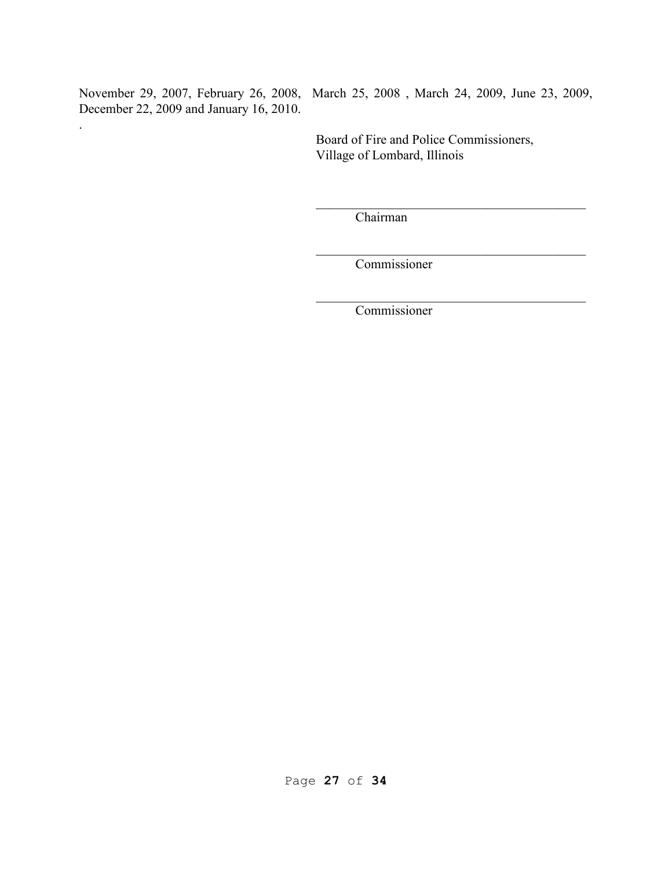December 22, 2009 and January 16, 2010.

.

November 29, 2007, February 26, 2008, March 25, 2008 , March 24, 2009, June 23, 2009,

 Board of Fire and Police Commissioners, Village of Lombard, Illinois

Chairman

 $\frac{1}{\sqrt{2}}$  ,  $\frac{1}{\sqrt{2}}$  ,  $\frac{1}{\sqrt{2}}$  ,  $\frac{1}{\sqrt{2}}$  ,  $\frac{1}{\sqrt{2}}$  ,  $\frac{1}{\sqrt{2}}$  ,  $\frac{1}{\sqrt{2}}$  ,  $\frac{1}{\sqrt{2}}$  ,  $\frac{1}{\sqrt{2}}$  ,  $\frac{1}{\sqrt{2}}$  ,  $\frac{1}{\sqrt{2}}$  ,  $\frac{1}{\sqrt{2}}$  ,  $\frac{1}{\sqrt{2}}$  ,  $\frac{1}{\sqrt{2}}$  ,  $\frac{1}{\sqrt{2}}$ 

 $\frac{1}{\sqrt{2}}$  ,  $\frac{1}{\sqrt{2}}$  ,  $\frac{1}{\sqrt{2}}$  ,  $\frac{1}{\sqrt{2}}$  ,  $\frac{1}{\sqrt{2}}$  ,  $\frac{1}{\sqrt{2}}$  ,  $\frac{1}{\sqrt{2}}$  ,  $\frac{1}{\sqrt{2}}$  ,  $\frac{1}{\sqrt{2}}$  ,  $\frac{1}{\sqrt{2}}$  ,  $\frac{1}{\sqrt{2}}$  ,  $\frac{1}{\sqrt{2}}$  ,  $\frac{1}{\sqrt{2}}$  ,  $\frac{1}{\sqrt{2}}$  ,  $\frac{1}{\sqrt{2}}$ 

 $\mathcal{L}_\mathcal{L}$  , which is a set of the set of the set of the set of the set of the set of the set of the set of the set of the set of the set of the set of the set of the set of the set of the set of the set of the set of

Commissioner

Commissioner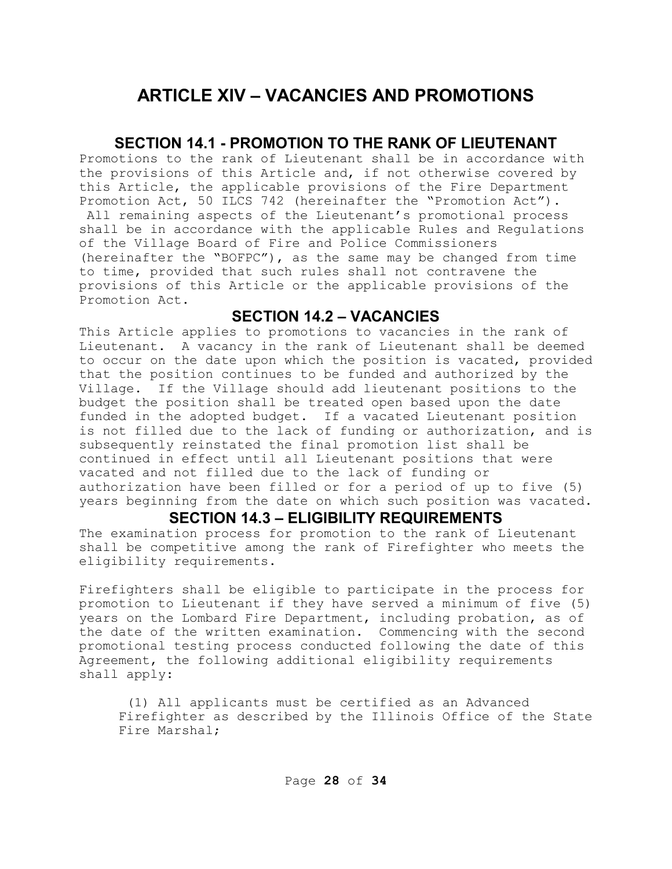# **ARTICLE XIV – VACANCIES AND PROMOTIONS**

### **SECTION 14.1 - PROMOTION TO THE RANK OF LIEUTENANT**

Promotions to the rank of Lieutenant shall be in accordance with the provisions of this Article and, if not otherwise covered by this Article, the applicable provisions of the Fire Department Promotion Act, 50 ILCS 742 (hereinafter the "Promotion Act"). All remaining aspects of the Lieutenant's promotional process shall be in accordance with the applicable Rules and Regulations of the Village Board of Fire and Police Commissioners (hereinafter the "BOFPC"), as the same may be changed from time to time, provided that such rules shall not contravene the provisions of this Article or the applicable provisions of the Promotion Act.

### **SECTION 14.2 – VACANCIES**

This Article applies to promotions to vacancies in the rank of Lieutenant. A vacancy in the rank of Lieutenant shall be deemed to occur on the date upon which the position is vacated, provided that the position continues to be funded and authorized by the Village. If the Village should add lieutenant positions to the budget the position shall be treated open based upon the date funded in the adopted budget. If a vacated Lieutenant position is not filled due to the lack of funding or authorization, and is subsequently reinstated the final promotion list shall be continued in effect until all Lieutenant positions that were vacated and not filled due to the lack of funding or authorization have been filled or for a period of up to five (5) years beginning from the date on which such position was vacated.

#### **SECTION 14.3 – ELIGIBILITY REQUIREMENTS**

The examination process for promotion to the rank of Lieutenant shall be competitive among the rank of Firefighter who meets the eligibility requirements.

Firefighters shall be eligible to participate in the process for promotion to Lieutenant if they have served a minimum of five (5) years on the Lombard Fire Department, including probation, as of the date of the written examination. Commencing with the second promotional testing process conducted following the date of this Agreement, the following additional eligibility requirements shall apply:

 (1) All applicants must be certified as an Advanced Firefighter as described by the Illinois Office of the State Fire Marshal;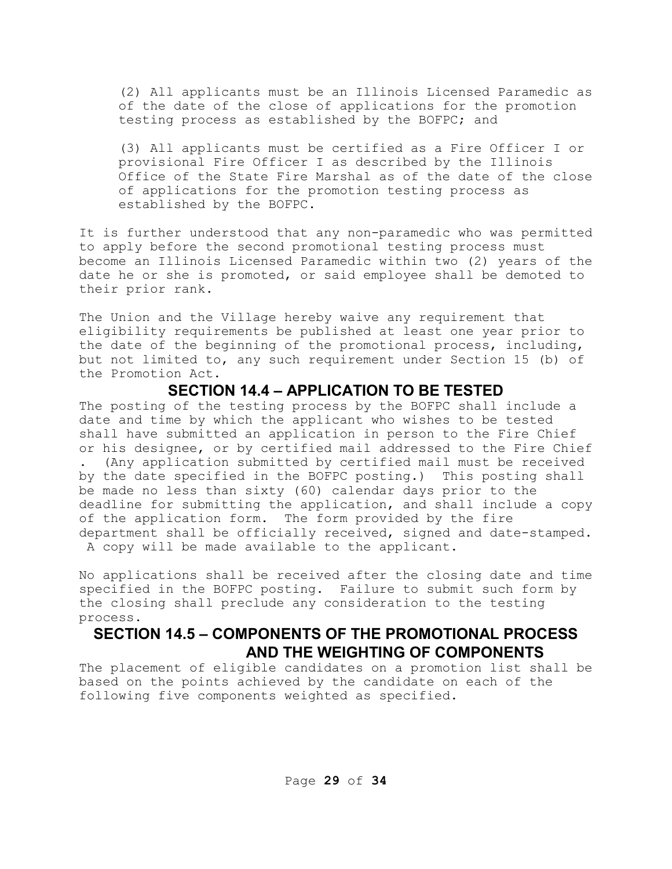(2) All applicants must be an Illinois Licensed Paramedic as of the date of the close of applications for the promotion testing process as established by the BOFPC; and

(3) All applicants must be certified as a Fire Officer I or provisional Fire Officer I as described by the Illinois Office of the State Fire Marshal as of the date of the close of applications for the promotion testing process as established by the BOFPC.

It is further understood that any non-paramedic who was permitted to apply before the second promotional testing process must become an Illinois Licensed Paramedic within two (2) years of the date he or she is promoted, or said employee shall be demoted to their prior rank.

The Union and the Village hereby waive any requirement that eligibility requirements be published at least one year prior to the date of the beginning of the promotional process, including, but not limited to, any such requirement under Section 15 (b) of the Promotion Act.

#### **SECTION 14.4 – APPLICATION TO BE TESTED**

The posting of the testing process by the BOFPC shall include a date and time by which the applicant who wishes to be tested shall have submitted an application in person to the Fire Chief or his designee, or by certified mail addressed to the Fire Chief . (Any application submitted by certified mail must be received by the date specified in the BOFPC posting.) This posting shall be made no less than sixty (60) calendar days prior to the deadline for submitting the application, and shall include a copy of the application form. The form provided by the fire department shall be officially received, signed and date-stamped. A copy will be made available to the applicant.

No applications shall be received after the closing date and time specified in the BOFPC posting. Failure to submit such form by the closing shall preclude any consideration to the testing process.

### **SECTION 14.5 – COMPONENTS OF THE PROMOTIONAL PROCESS AND THE WEIGHTING OF COMPONENTS**

The placement of eligible candidates on a promotion list shall be based on the points achieved by the candidate on each of the following five components weighted as specified.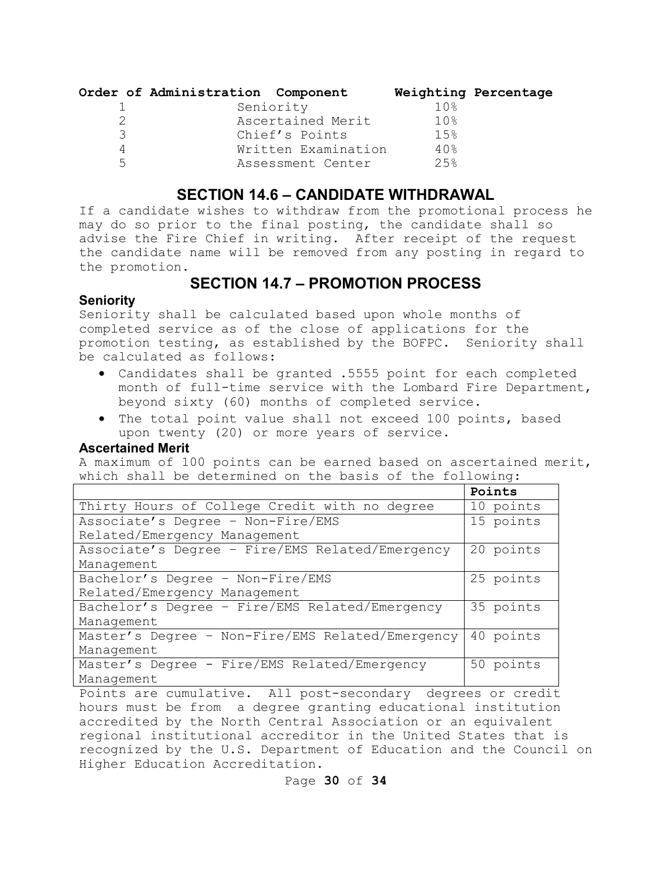|   | Order of Administration Component |                 | Weighting Percentage |
|---|-----------------------------------|-----------------|----------------------|
|   | Seniority                         | 10 <sub>8</sub> |                      |
|   | Ascertained Merit                 | 10 <sub>8</sub> |                      |
| 3 | Chief's Points                    | 1.5%            |                      |
| 4 | Written Examination               | 40%             |                      |
| 5 | Assessment Center                 | 2.5%            |                      |

#### **SECTION 14.6 – CANDIDATE WITHDRAWAL**

If a candidate wishes to withdraw from the promotional process he may do so prior to the final posting, the candidate shall so advise the Fire Chief in writing. After receipt of the request the candidate name will be removed from any posting in regard to the promotion.

## **SECTION 14.7 – PROMOTION PROCESS**

#### **Seniority**

Seniority shall be calculated based upon whole months of completed service as of the close of applications for the promotion testing, as established by the BOFPC. Seniority shall be calculated as follows:

- Candidates shall be granted .5555 point for each completed month of full-time service with the Lombard Fire Department, beyond sixty (60) months of completed service.
- The total point value shall not exceed 100 points, based upon twenty (20) or more years of service.

#### **Ascertained Merit**

A maximum of 100 points can be earned based on ascertained merit, which shall be determined on the basis of the following:

|                                                  | Points    |
|--------------------------------------------------|-----------|
| Thirty Hours of College Credit with no degree    | 10 points |
| Associate's Degree - Non-Fire/EMS                | 15 points |
| Related/Emergency Management                     |           |
| Associate's Degree - Fire/EMS Related/Emergency  | 20 points |
| Management                                       |           |
| Bachelor's Degree - Non-Fire/EMS                 | 25 points |
| Related/Emergency Management                     |           |
| Bachelor's Degree - Fire/EMS Related/Emergency   | 35 points |
| Management                                       |           |
| Master's Degree - Non-Fire/EMS Related/Emergency | 40 points |
| Management                                       |           |
| Master's Degree - Fire/EMS Related/Emergency     | 50 points |
| Management                                       |           |
|                                                  |           |

Points are cumulative. All post-secondary degrees or credit hours must be from a degree granting educational institution accredited by the North Central Association or an equivalent regional institutional accreditor in the United States that is recognized by the U.S. Department of Education and the Council on Higher Education Accreditation.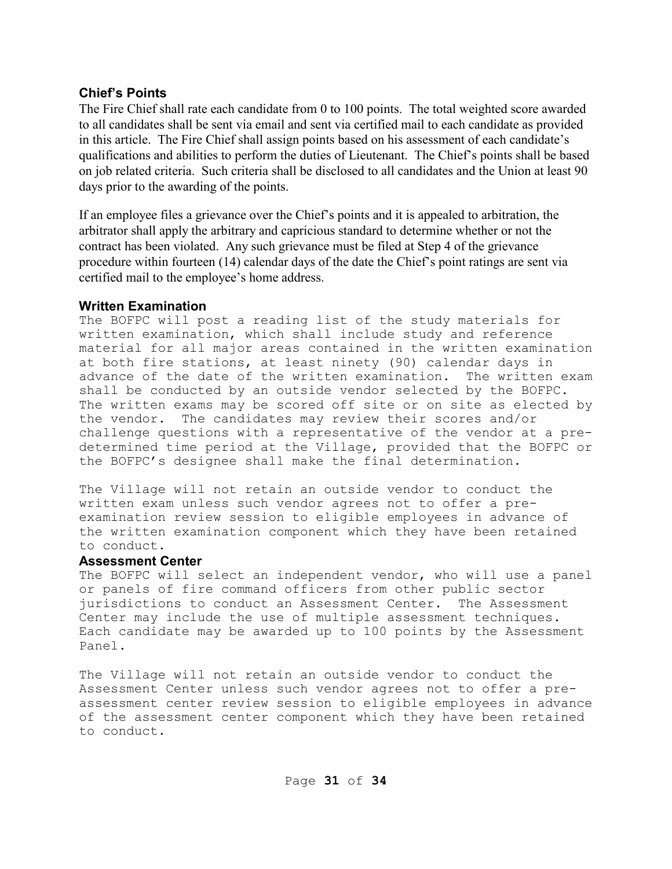#### **Chief's Points**

The Fire Chief shall rate each candidate from 0 to 100 points. The total weighted score awarded to all candidates shall be sent via email and sent via certified mail to each candidate as provided in this article. The Fire Chief shall assign points based on his assessment of each candidate's qualifications and abilities to perform the duties of Lieutenant. The Chief's points shall be based on job related criteria. Such criteria shall be disclosed to all candidates and the Union at least 90 days prior to the awarding of the points.

If an employee files a grievance over the Chief's points and it is appealed to arbitration, the arbitrator shall apply the arbitrary and capricious standard to determine whether or not the contract has been violated. Any such grievance must be filed at Step 4 of the grievance procedure within fourteen (14) calendar days of the date the Chief's point ratings are sent via certified mail to the employee's home address.

#### **Written Examination**

The BOFPC will post a reading list of the study materials for written examination, which shall include study and reference material for all major areas contained in the written examination at both fire stations, at least ninety (90) calendar days in advance of the date of the written examination. The written exam shall be conducted by an outside vendor selected by the BOFPC. The written exams may be scored off site or on site as elected by the vendor. The candidates may review their scores and/or challenge questions with a representative of the vendor at a predetermined time period at the Village, provided that the BOFPC or the BOFPC's designee shall make the final determination.

The Village will not retain an outside vendor to conduct the written exam unless such vendor agrees not to offer a preexamination review session to eligible employees in advance of the written examination component which they have been retained to conduct.

#### **Assessment Center**

The BOFPC will select an independent vendor, who will use a panel or panels of fire command officers from other public sector jurisdictions to conduct an Assessment Center. The Assessment Center may include the use of multiple assessment techniques. Each candidate may be awarded up to 100 points by the Assessment Panel.

The Village will not retain an outside vendor to conduct the Assessment Center unless such vendor agrees not to offer a preassessment center review session to eligible employees in advance of the assessment center component which they have been retained to conduct.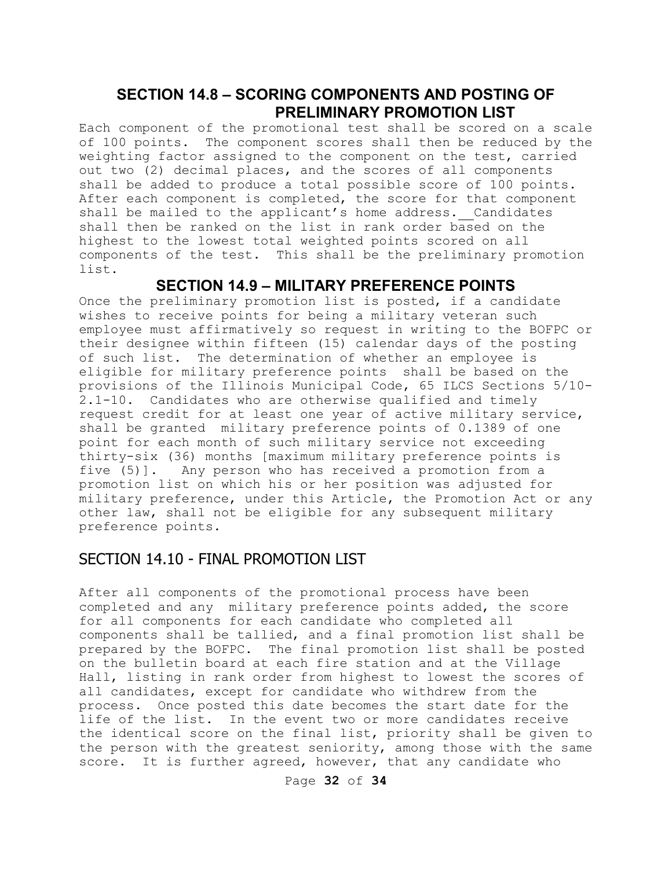## **SECTION 14.8 – SCORING COMPONENTS AND POSTING OF PRELIMINARY PROMOTION LIST**

Each component of the promotional test shall be scored on a scale of 100 points. The component scores shall then be reduced by the weighting factor assigned to the component on the test, carried out two (2) decimal places, and the scores of all components shall be added to produce a total possible score of 100 points. After each component is completed, the score for that component shall be mailed to the applicant's home address. Candidates shall then be ranked on the list in rank order based on the highest to the lowest total weighted points scored on all components of the test. This shall be the preliminary promotion list.

#### **SECTION 14.9 – MILITARY PREFERENCE POINTS**

Once the preliminary promotion list is posted, if a candidate wishes to receive points for being a military veteran such employee must affirmatively so request in writing to the BOFPC or their designee within fifteen (15) calendar days of the posting of such list. The determination of whether an employee is eligible for military preference points shall be based on the provisions of the Illinois Municipal Code, 65 ILCS Sections 5/10- 2.1-10. Candidates who are otherwise qualified and timely request credit for at least one year of active military service, shall be granted military preference points of 0.1389 of one point for each month of such military service not exceeding thirty-six (36) months [maximum military preference points is five (5)]. Any person who has received a promotion from a promotion list on which his or her position was adjusted for military preference, under this Article, the Promotion Act or any other law, shall not be eligible for any subsequent military preference points.

## SECTION 14.10 - FINAL PROMOTION LIST

After all components of the promotional process have been completed and any military preference points added, the score for all components for each candidate who completed all components shall be tallied, and a final promotion list shall be prepared by the BOFPC. The final promotion list shall be posted on the bulletin board at each fire station and at the Village Hall, listing in rank order from highest to lowest the scores of all candidates, except for candidate who withdrew from the process. Once posted this date becomes the start date for the life of the list. In the event two or more candidates receive the identical score on the final list, priority shall be given to the person with the greatest seniority, among those with the same score. It is further agreed, however, that any candidate who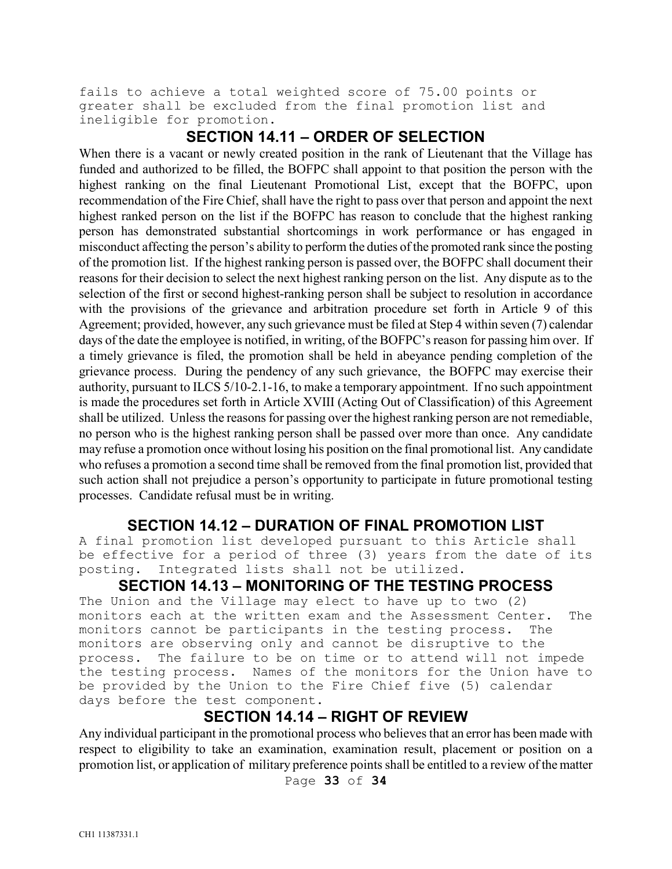fails to achieve a total weighted score of 75.00 points or greater shall be excluded from the final promotion list and ineligible for promotion.

#### **SECTION 14.11 – ORDER OF SELECTION**

When there is a vacant or newly created position in the rank of Lieutenant that the Village has funded and authorized to be filled, the BOFPC shall appoint to that position the person with the highest ranking on the final Lieutenant Promotional List, except that the BOFPC, upon recommendation of the Fire Chief, shall have the right to pass over that person and appoint the next highest ranked person on the list if the BOFPC has reason to conclude that the highest ranking person has demonstrated substantial shortcomings in work performance or has engaged in misconduct affecting the person's ability to perform the duties of the promoted rank since the posting of the promotion list. If the highest ranking person is passed over, the BOFPC shall document their reasons for their decision to select the next highest ranking person on the list. Any dispute as to the selection of the first or second highest-ranking person shall be subject to resolution in accordance with the provisions of the grievance and arbitration procedure set forth in Article 9 of this Agreement; provided, however, any such grievance must be filed at Step 4 within seven (7) calendar days of the date the employee is notified, in writing, of the BOFPC's reason for passing him over. If a timely grievance is filed, the promotion shall be held in abeyance pending completion of the grievance process. During the pendency of any such grievance, the BOFPC may exercise their authority, pursuant to ILCS 5/10-2.1-16, to make a temporary appointment. If no such appointment is made the procedures set forth in Article XVIII (Acting Out of Classification) of this Agreement shall be utilized. Unless the reasons for passing over the highest ranking person are not remediable, no person who is the highest ranking person shall be passed over more than once. Any candidate may refuse a promotion once without losing his position on the final promotional list. Any candidate who refuses a promotion a second time shall be removed from the final promotion list, provided that such action shall not prejudice a person's opportunity to participate in future promotional testing processes. Candidate refusal must be in writing.

### **SECTION 14.12 – DURATION OF FINAL PROMOTION LIST**

A final promotion list developed pursuant to this Article shall be effective for a period of three (3) years from the date of its posting. Integrated lists shall not be utilized.

#### **SECTION 14.13 – MONITORING OF THE TESTING PROCESS**

The Union and the Village may elect to have up to two (2) monitors each at the written exam and the Assessment Center. The monitors cannot be participants in the testing process. The monitors are observing only and cannot be disruptive to the process. The failure to be on time or to attend will not impede the testing process. Names of the monitors for the Union have to be provided by the Union to the Fire Chief five (5) calendar days before the test component.

## **SECTION 14.14 – RIGHT OF REVIEW**

Any individual participant in the promotional process who believes that an error has been made with respect to eligibility to take an examination, examination result, placement or position on a promotion list, or application of military preference points shall be entitled to a review of the matter